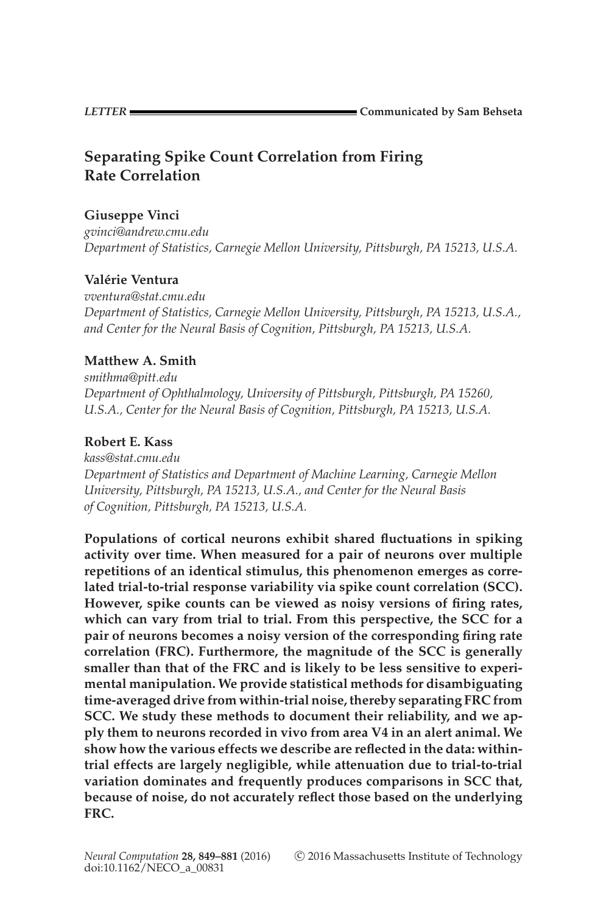**LETTER COMMUNICATER COMMUNICATED <b>COMMUNICATED COMMUNICATED COMMUNICATED COMMUNICATED COMMUNICATED** 

# **Separating Spike Count Correlation from Firing Rate Correlation**

# **Giuseppe Vinci**

*gvinci@andrew.cmu.edu Department of Statistics, Carnegie Mellon University, Pittsburgh, PA 15213, U.S.A.*

# **Valerie Ventura ´**

*vventura@stat.cmu.edu Department of Statistics, Carnegie Mellon University, Pittsburgh, PA 15213, U.S.A., and Center for the Neural Basis of Cognition, Pittsburgh, PA 15213, U.S.A.*

# **Matthew A. Smith**

*smithma@pitt.edu Department of Ophthalmology, University of Pittsburgh, Pittsburgh, PA 15260, U.S.A., Center for the Neural Basis of Cognition, Pittsburgh, PA 15213, U.S.A.*

# **Robert E. Kass**

*kass@stat.cmu.edu Department of Statistics and Department of Machine Learning, Carnegie Mellon University, Pittsburgh, PA 15213, U.S.A., and Center for the Neural Basis of Cognition, Pittsburgh, PA 15213, U.S.A.*

**Populations of cortical neurons exhibit shared fluctuations in spiking activity over time. When measured for a pair of neurons over multiple repetitions of an identical stimulus, this phenomenon emerges as correlated trial-to-trial response variability via spike count correlation (SCC). However, spike counts can be viewed as noisy versions of firing rates, which can vary from trial to trial. From this perspective, the SCC for a pair of neurons becomes a noisy version of the corresponding firing rate correlation (FRC). Furthermore, the magnitude of the SCC is generally smaller than that of the FRC and is likely to be less sensitive to experimental manipulation. We provide statistical methods for disambiguating time-averaged drive from within-trial noise, thereby separating FRC from SCC. We study these methods to document their reliability, and we apply them to neurons recorded in vivo from area V4 in an alert animal. We show how the various effects we describe are reflected in the data: withintrial effects are largely negligible, while attenuation due to trial-to-trial variation dominates and frequently produces comparisons in SCC that, because of noise, do not accurately reflect those based on the underlying FRC.**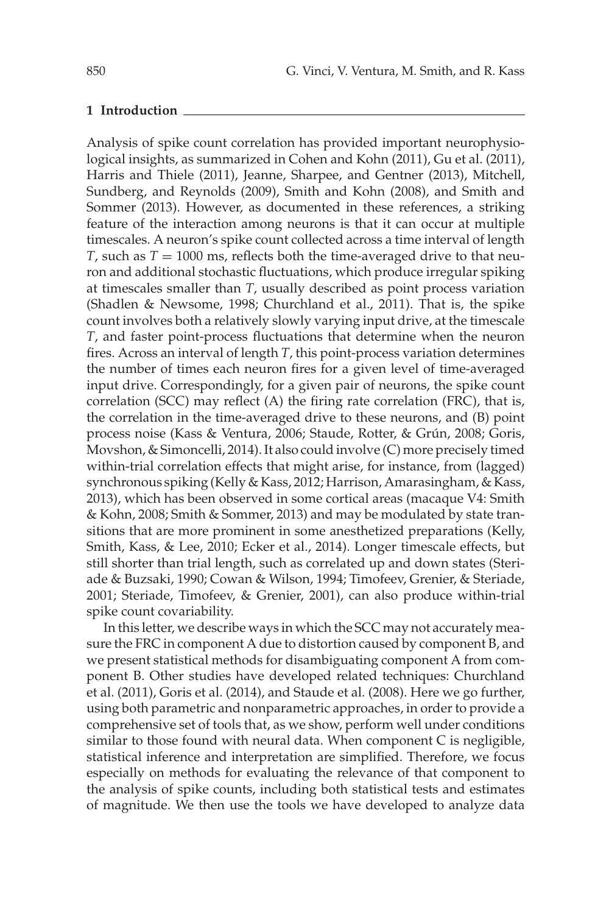#### **1 Introduction**

Analysis of spike count correlation has provided important neurophysiological insights, as summarized in Cohen and Kohn (2011), Gu et al. (2011), Harris and Thiele (2011), Jeanne, Sharpee, and Gentner (2013), Mitchell, Sundberg, and Reynolds (2009), Smith and Kohn (2008), and Smith and Sommer (2013). However, as documented in these references, a striking feature of the interaction among neurons is that it can occur at multiple timescales. A neuron's spike count collected across a time interval of length *T*, such as  $T = 1000$  ms, reflects both the time-averaged drive to that neuron and additional stochastic fluctuations, which produce irregular spiking at timescales smaller than *T*, usually described as point process variation (Shadlen & Newsome, 1998; Churchland et al., 2011). That is, the spike count involves both a relatively slowly varying input drive, at the timescale *T*, and faster point-process fluctuations that determine when the neuron fires. Across an interval of length *T*, this point-process variation determines the number of times each neuron fires for a given level of time-averaged input drive. Correspondingly, for a given pair of neurons, the spike count correlation (SCC) may reflect (A) the firing rate correlation (FRC), that is, the correlation in the time-averaged drive to these neurons, and (B) point process noise (Kass & Ventura, 2006; Staude, Rotter, & Grún, 2008; Goris, Movshon, & Simoncelli, 2014). It also could involve (C) more precisely timed within-trial correlation effects that might arise, for instance, from (lagged) synchronous spiking (Kelly & Kass, 2012; Harrison, Amarasingham, & Kass, 2013), which has been observed in some cortical areas (macaque V4: Smith & Kohn, 2008; Smith & Sommer, 2013) and may be modulated by state transitions that are more prominent in some anesthetized preparations (Kelly, Smith, Kass, & Lee, 2010; Ecker et al., 2014). Longer timescale effects, but still shorter than trial length, such as correlated up and down states (Steriade & Buzsaki, 1990; Cowan & Wilson, 1994; Timofeev, Grenier, & Steriade, 2001; Steriade, Timofeev, & Grenier, 2001), can also produce within-trial spike count covariability.

In this letter, we describe ways in which the SCC may not accurately measure the FRC in component A due to distortion caused by component B, and we present statistical methods for disambiguating component A from component B. Other studies have developed related techniques: Churchland et al. (2011), Goris et al. (2014), and Staude et al. (2008). Here we go further, using both parametric and nonparametric approaches, in order to provide a comprehensive set of tools that, as we show, perform well under conditions similar to those found with neural data. When component C is negligible, statistical inference and interpretation are simplified. Therefore, we focus especially on methods for evaluating the relevance of that component to the analysis of spike counts, including both statistical tests and estimates of magnitude. We then use the tools we have developed to analyze data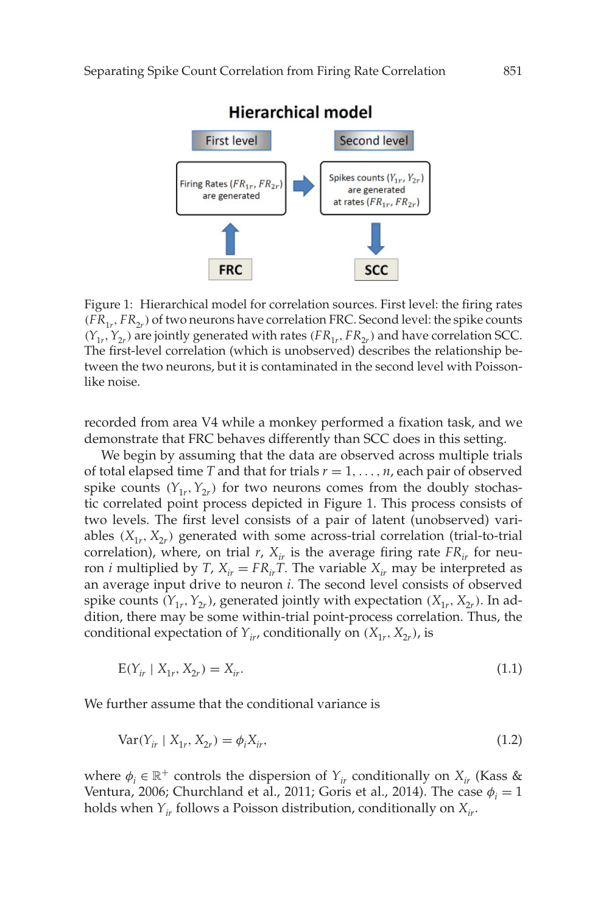

Figure 1: Hierarchical model for correlation sources. First level: the firing rates  $(FR_{1r}, FR_{2r})$  of two neurons have correlation FRC. Second level: the spike counts  $(Y_{1r}, Y_{2r})$  are jointly generated with rates  $(FR_{1r}, FR_{2r})$  and have correlation SCC. The first-level correlation (which is unobserved) describes the relationship between the two neurons, but it is contaminated in the second level with Poissonlike noise.

recorded from area V4 while a monkey performed a fixation task, and we demonstrate that FRC behaves differently than SCC does in this setting.

We begin by assuming that the data are observed across multiple trials of total elapsed time *T* and that for trials  $r = 1, \ldots, n$ , each pair of observed spike counts  $(Y_{1r}, Y_{2r})$  for two neurons comes from the doubly stochastic correlated point process depicted in Figure 1. This process consists of two levels. The first level consists of a pair of latent (unobserved) variables  $(X_{1r}, X_{2r})$  generated with some across-trial correlation (trial-to-trial correlation), where, on trial  $r$ ,  $X_{ir}$  is the average firing rate  $FR_{ir}$  for neuron *i* multiplied by *T*,  $X_{ir} = FR_{ir}T$ . The variable  $X_{ir}$  may be interpreted as an average input drive to neuron *i*. The second level consists of observed spike counts  $(Y_{1r}, Y_{2r})$ , generated jointly with expectation  $(X_{1r}, X_{2r})$ . In addition, there may be some within-trial point-process correlation. Thus, the conditional expectation of  $Y_{ir}$ , conditionally on  $(X_{1r}, X_{2r})$ , is

$$
E(Y_{ir} | X_{1r}, X_{2r}) = X_{ir}.
$$
\n(1.1)

We further assume that the conditional variance is

$$
Var(Y_{ir} | X_{1r}, X_{2r}) = \phi_i X_{ir},
$$
\n(1.2)

where  $\phi_i \in \mathbb{R}^+$  controls the dispersion of  $Y_{ir}$  conditionally on  $X_{ir}$  (Kass & Ventura, 2006; Churchland et al., 2011; Goris et al., 2014). The case  $\phi_i = 1$ holds when  $Y_{ir}$  follows a Poisson distribution, conditionally on  $X_{ir}$ .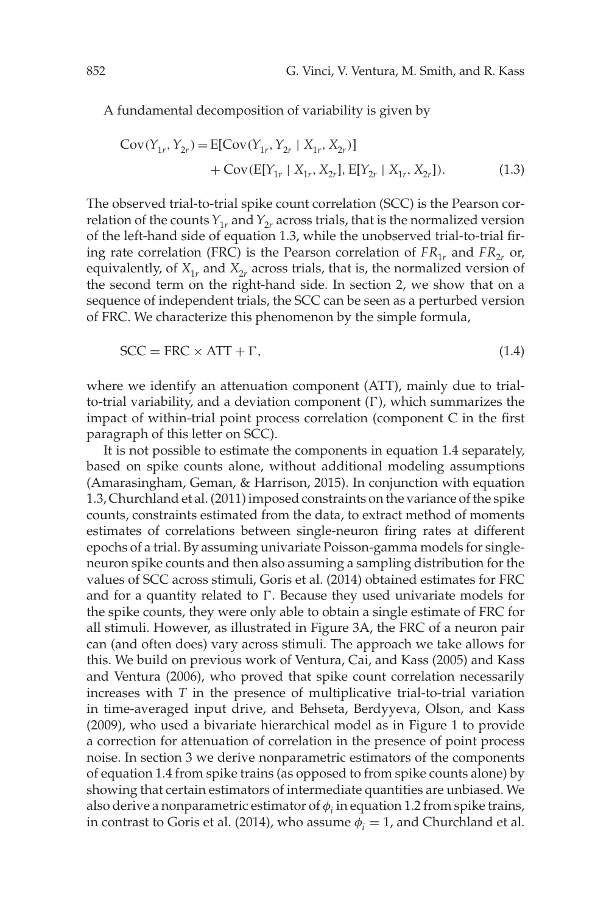A fundamental decomposition of variability is given by

$$
Cov(Y_{1r}, Y_{2r}) = E[Cov(Y_{1r}, Y_{2r} | X_{1r}, X_{2r})]
$$
  
+  $Cov(E[Y_{1r} | X_{1r}, X_{2r}], E[Y_{2r} | X_{1r}, X_{2r}]).$  (1.3)

The observed trial-to-trial spike count correlation (SCC) is the Pearson correlation of the counts  $Y_{1r}$  and  $Y_{2r}$  across trials, that is the normalized version of the left-hand side of equation 1.3, while the unobserved trial-to-trial firing rate correlation (FRC) is the Pearson correlation of  $FR_{1r}$  and  $FR_{2r}$  or, equivalently, of  $X_{1r}$  and  $X_{2r}$  across trials, that is, the normalized version of the second term on the right-hand side. In section 2, we show that on a sequence of independent trials, the SCC can be seen as a perturbed version of FRC. We characterize this phenomenon by the simple formula,

$$
SCC = FRC \times ATT + \Gamma, \tag{1.4}
$$

where we identify an attenuation component (ATT), mainly due to trialto-trial variability, and a deviation component  $(\Gamma)$ , which summarizes the impact of within-trial point process correlation (component C in the first paragraph of this letter on SCC).

It is not possible to estimate the components in equation 1.4 separately, based on spike counts alone, without additional modeling assumptions (Amarasingham, Geman, & Harrison, 2015). In conjunction with equation 1.3, Churchland et al. (2011) imposed constraints on the variance of the spike counts, constraints estimated from the data, to extract method of moments estimates of correlations between single-neuron firing rates at different epochs of a trial. By assuming univariate Poisson-gamma models for singleneuron spike counts and then also assuming a sampling distribution for the values of SCC across stimuli, Goris et al. (2014) obtained estimates for FRC and for a quantity related to  $\Gamma$ . Because they used univariate models for the spike counts, they were only able to obtain a single estimate of FRC for all stimuli. However, as illustrated in Figure 3A, the FRC of a neuron pair can (and often does) vary across stimuli. The approach we take allows for this. We build on previous work of Ventura, Cai, and Kass (2005) and Kass and Ventura (2006), who proved that spike count correlation necessarily increases with *T* in the presence of multiplicative trial-to-trial variation in time-averaged input drive, and Behseta, Berdyyeva, Olson, and Kass (2009), who used a bivariate hierarchical model as in Figure 1 to provide a correction for attenuation of correlation in the presence of point process noise. In section 3 we derive nonparametric estimators of the components of equation 1.4 from spike trains (as opposed to from spike counts alone) by showing that certain estimators of intermediate quantities are unbiased. We also derive a nonparametric estimator of  $\phi$ ; in equation 1.2 from spike trains, in contrast to Goris et al. (2014), who assume  $\phi_i = 1$ , and Churchland et al.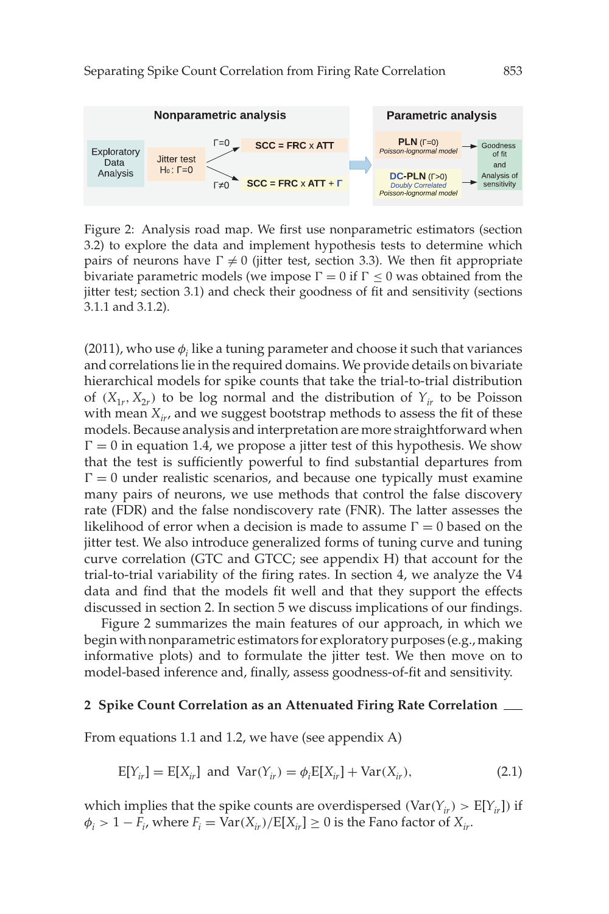

Figure 2: Analysis road map. We first use nonparametric estimators (section 3.2) to explore the data and implement hypothesis tests to determine which pairs of neurons have  $\Gamma \neq 0$  (jitter test, section 3.3). We then fit appropriate bivariate parametric models (we impose  $\Gamma = 0$  if  $\Gamma \le 0$  was obtained from the jitter test; section 3.1) and check their goodness of fit and sensitivity (sections 3.1.1 and 3.1.2).

(2011), who use  $\phi_i$  like a tuning parameter and choose it such that variances and correlations lie in the required domains. We provide details on bivariate hierarchical models for spike counts that take the trial-to-trial distribution of  $(X_{1r}, X_{2r})$  to be log normal and the distribution of  $Y_{ir}$  to be Poisson with mean  $X_{ir}$ , and we suggest bootstrap methods to assess the fit of these models. Because analysis and interpretation are more straightforward when  $\Gamma = 0$  in equation 1.4, we propose a jitter test of this hypothesis. We show that the test is sufficiently powerful to find substantial departures from  $\Gamma = 0$  under realistic scenarios, and because one typically must examine many pairs of neurons, we use methods that control the false discovery rate (FDR) and the false nondiscovery rate (FNR). The latter assesses the likelihood of error when a decision is made to assume  $\Gamma = 0$  based on the jitter test. We also introduce generalized forms of tuning curve and tuning curve correlation (GTC and GTCC; see appendix H) that account for the trial-to-trial variability of the firing rates. In section 4, we analyze the V4 data and find that the models fit well and that they support the effects discussed in section 2. In section 5 we discuss implications of our findings.

Figure 2 summarizes the main features of our approach, in which we begin with nonparametric estimators for exploratory purposes (e.g., making informative plots) and to formulate the jitter test. We then move on to model-based inference and, finally, assess goodness-of-fit and sensitivity.

#### **2 Spike Count Correlation as an Attenuated Firing Rate Correlation**

From equations 1.1 and 1.2, we have (see appendix A)

$$
E[Y_{ir}] = E[X_{ir}] \text{ and } Var(Y_{ir}) = \phi_i E[X_{ir}] + Var(X_{ir}), \qquad (2.1)
$$

which implies that the spike counts are overdispersed (Var $(Y_{ir}) > E[Y_{ir}]$ ) if  $\phi_i > 1 - F_i$ , where  $F_i = \text{Var}(X_{ir}) / E[X_{ir}] \ge 0$  is the Fano factor of  $X_{ir}$ .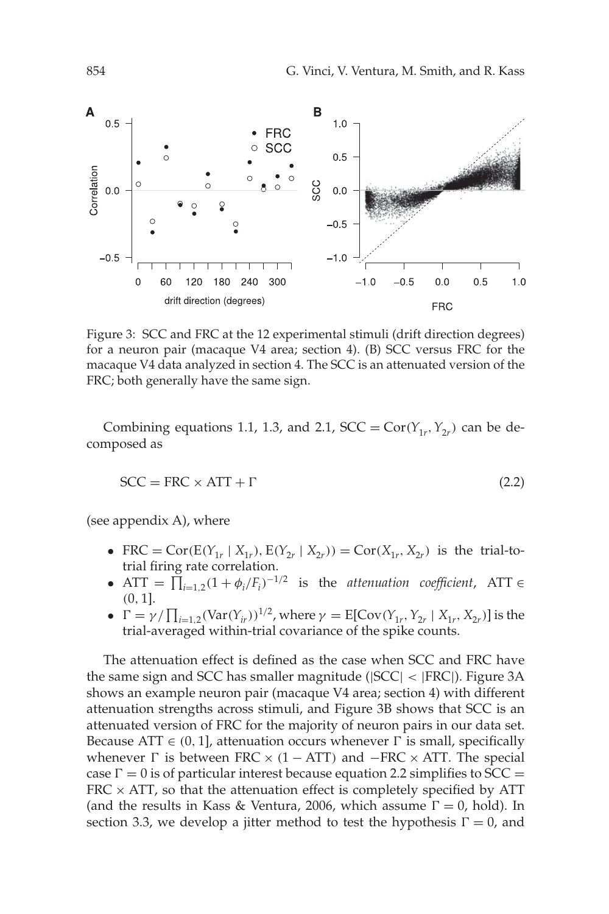

Figure 3: SCC and FRC at the 12 experimental stimuli (drift direction degrees) for a neuron pair (macaque V4 area; section 4). (B) SCC versus FRC for the macaque V4 data analyzed in section 4. The SCC is an attenuated version of the FRC; both generally have the same sign.

Combining equations 1.1, 1.3, and 2.1,  $SCC = Cor(Y<sub>1r</sub>, Y<sub>2r</sub>)$  can be decomposed as

$$
SCC = FRC \times ATT + \Gamma
$$
 (2.2)

(see appendix A), where

- FRC = Cor( $E(Y_{1r} | X_{1r})$ ,  $E(Y_{2r} | X_{2r})$ ) = Cor( $X_{1r}$ ,  $X_{2r}$ ) is the trial-totrial firing rate correlation.
- ATT =  $\prod_{i=1,2} (1 + \phi_i / F_i)^{-1/2}$  is the *attenuation coefficient*, ATT  $\in$ (0, 1].
- $\Gamma = \gamma / \prod_{i=1,2} (Var(Y_{ir}))^{1/2}$ , where  $\gamma = E[Cov(Y_{1r}, Y_{2r} | X_{1r}, X_{2r})]$  is the trial-averaged within-trial covariance of the spike counts.

The attenuation effect is defined as the case when SCC and FRC have the same sign and SCC has smaller magnitude (|SCC| < |FRC|). Figure 3A shows an example neuron pair (macaque V4 area; section 4) with different attenuation strengths across stimuli, and Figure 3B shows that SCC is an attenuated version of FRC for the majority of neuron pairs in our data set. Because ATT  $\in$  (0, 1], attenuation occurs whenever  $\Gamma$  is small, specifically whenever  $\Gamma$  is between FRC × (1 − ATT) and −FRC × ATT. The special case  $\Gamma = 0$  is of particular interest because equation 2.2 simplifies to SCC =  $FRC \times ATT$ , so that the attenuation effect is completely specified by ATT (and the results in Kass & Ventura, 2006, which assume  $\Gamma = 0$ , hold). In section 3.3, we develop a jitter method to test the hypothesis  $\Gamma = 0$ , and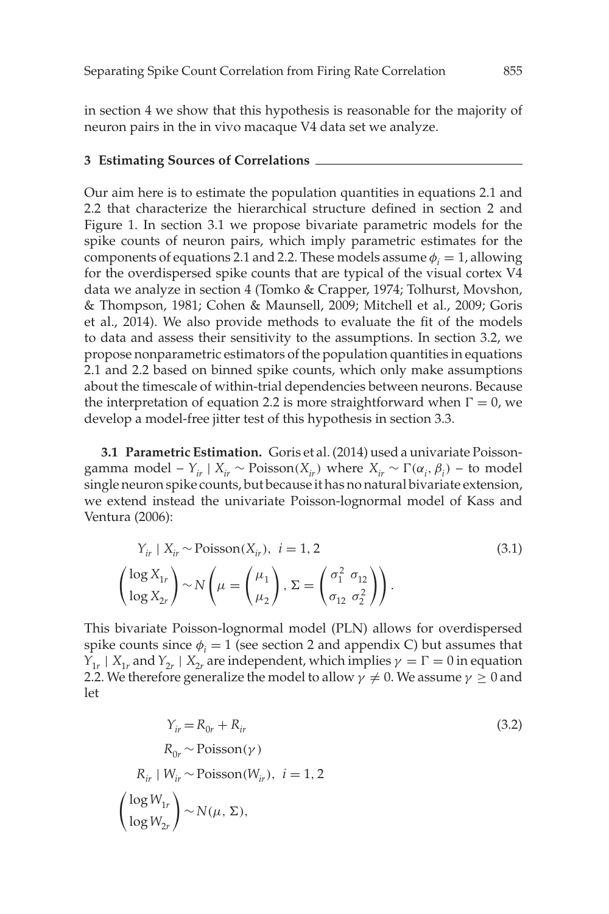in section 4 we show that this hypothesis is reasonable for the majority of neuron pairs in the in vivo macaque V4 data set we analyze.

### **3 Estimating Sources of Correlations**

Our aim here is to estimate the population quantities in equations 2.1 and 2.2 that characterize the hierarchical structure defined in section 2 and Figure 1. In section 3.1 we propose bivariate parametric models for the spike counts of neuron pairs, which imply parametric estimates for the components of equations 2.1 and 2.2. These models assume  $\phi_i = 1$ , allowing for the overdispersed spike counts that are typical of the visual cortex V4 data we analyze in section 4 (Tomko & Crapper, 1974; Tolhurst, Movshon, & Thompson, 1981; Cohen & Maunsell, 2009; Mitchell et al., 2009; Goris et al., 2014). We also provide methods to evaluate the fit of the models to data and assess their sensitivity to the assumptions. In section 3.2, we propose nonparametric estimators of the population quantities in equations 2.1 and 2.2 based on binned spike counts, which only make assumptions about the timescale of within-trial dependencies between neurons. Because the interpretation of equation 2.2 is more straightforward when  $\Gamma = 0$ , we develop a model-free jitter test of this hypothesis in section 3.3.

**3.1 Parametric Estimation.** Goris et al. (2014) used a univariate Poissongamma model –  $Y_{ir} \mid X_{ir} \sim \text{Poisson}(X_{ir})$  where  $X_{ir} \sim \Gamma(\alpha_i, \beta_i)$  – to model single neuron spike counts, but because it has no natural bivariate extension, we extend instead the univariate Poisson-lognormal model of Kass and Ventura (2006):

$$
Y_{ir} \mid X_{ir} \sim \text{Poisson}(X_{ir}), \ i = 1, 2 \tag{3.1}
$$
\n
$$
\left(\frac{\log X_{1r}}{\log X_{2r}}\right) \sim N\left(\mu = \left(\frac{\mu_1}{\mu_2}\right), \Sigma = \left(\frac{\sigma_1^2}{\sigma_{12}} \frac{\sigma_{12}}{\sigma_2^2}\right)\right).
$$

This bivariate Poisson-lognormal model (PLN) allows for overdispersed spike counts since  $\phi_i = 1$  (see section 2 and appendix C) but assumes that  $Y_{1r}$  |  $X_{1r}$  and  $Y_{2r}$  |  $X_{2r}$  are independent, which implies  $\gamma = \Gamma = 0$  in equation 2.2. We therefore generalize the model to allow  $\gamma \neq 0$ . We assume  $\gamma \geq 0$  and let

$$
Y_{ir} = R_{0r} + R_{ir}
$$
\n
$$
R_{0r} \sim \text{Poisson}(\gamma)
$$
\n
$$
R_{ir} \mid W_{ir} \sim \text{Poisson}(W_{ir}), \ i = 1, 2
$$
\n
$$
\left(\frac{\log W_{1r}}{\log W_{2r}}\right) \sim N(\mu, \Sigma),
$$
\n(3.2)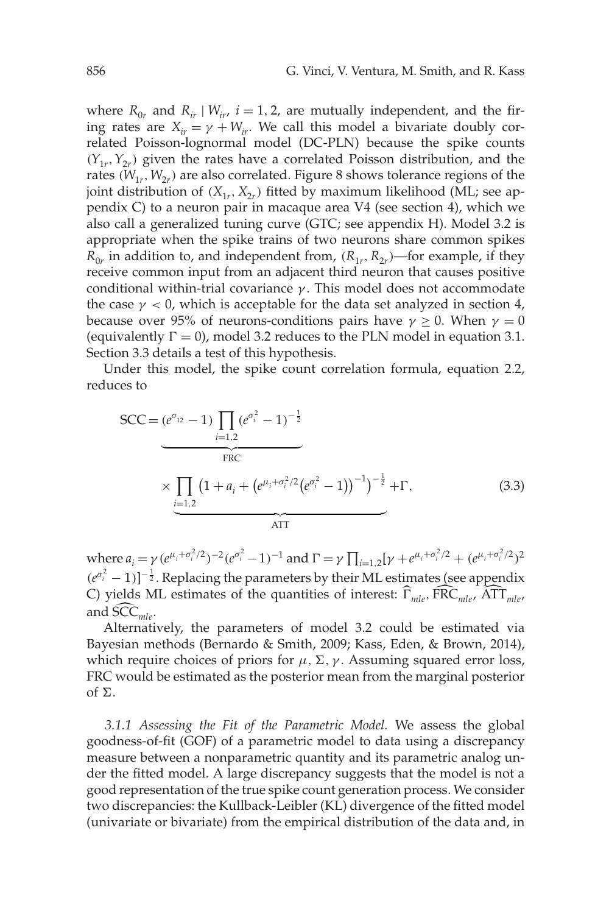where  $R_{0r}$  and  $R_{ir}$  |  $W_{ir}$ ,  $i = 1, 2$ , are mutually independent, and the firing rates are  $X_{ir} = \gamma + W_{ir}$ . We call this model a bivariate doubly correlated Poisson-lognormal model (DC-PLN) because the spike counts  $(Y_{1r}, Y_{2r})$  given the rates have a correlated Poisson distribution, and the rates  $(W_{1r}, W_{2r})$  are also correlated. Figure 8 shows tolerance regions of the joint distribution of  $(X_{1r}, X_{2r})$  fitted by maximum likelihood (ML; see appendix C) to a neuron pair in macaque area V4 (see section 4), which we also call a generalized tuning curve (GTC; see appendix H). Model 3.2 is appropriate when the spike trains of two neurons share common spikes  $R_{0r}$  in addition to, and independent from,  $(R_{1r}, R_{2r})$ —for example, if they receive common input from an adjacent third neuron that causes positive conditional within-trial covariance  $\gamma$ . This model does not accommodate the case  $\gamma$  < 0, which is acceptable for the data set analyzed in section 4, because over 95% of neurons-conditions pairs have  $\gamma \geq 0$ . When  $\gamma = 0$ (equivalently  $\Gamma = 0$ ), model 3.2 reduces to the PLN model in equation 3.1. Section 3.3 details a test of this hypothesis.

Under this model, the spike count correlation formula, equation 2.2, reduces to

$$
SCC = (e^{\sigma_{12}} - 1) \prod_{i=1,2} (e^{\sigma_i^2} - 1)^{-\frac{1}{2}}
$$
  

where  $a_i = \gamma (e^{\mu_i + \sigma_i^2/2})^{-2} (e^{\sigma_i^2} - 1)^{-1}$  and  $\Gamma = \gamma \prod_{i=1,2} [\gamma + e^{\mu_i + \sigma_i^2/2} + (e^{\mu_i + \sigma_i^2/2})^2$  $(e^{\sigma_i^2} - 1)$ ]<sup>- $\frac{1}{2}$ . Replacing the parameters by their ML estimates (see appendix</sup> C) yields ML estimates of the quantities of interest:  $\hat{\Gamma}_{mlo}$ ,  $\hat{FRC}_{mlo}$ ,  $\hat{ATT}_{mlo}$ and SCC<sub>mle</sub>.

Alternatively, the parameters of model 3.2 could be estimated via Bayesian methods (Bernardo & Smith, 2009; Kass, Eden, & Brown, 2014), which require choices of priors for  $\mu$ ,  $\Sigma$ ,  $\gamma$ . Assuming squared error loss, FRC would be estimated as the posterior mean from the marginal posterior of  $\Sigma$ .

*3.1.1 Assessing the Fit of the Parametric Model.* We assess the global goodness-of-fit (GOF) of a parametric model to data using a discrepancy measure between a nonparametric quantity and its parametric analog under the fitted model. A large discrepancy suggests that the model is not a good representation of the true spike count generation process. We consider two discrepancies: the Kullback-Leibler (KL) divergence of the fitted model (univariate or bivariate) from the empirical distribution of the data and, in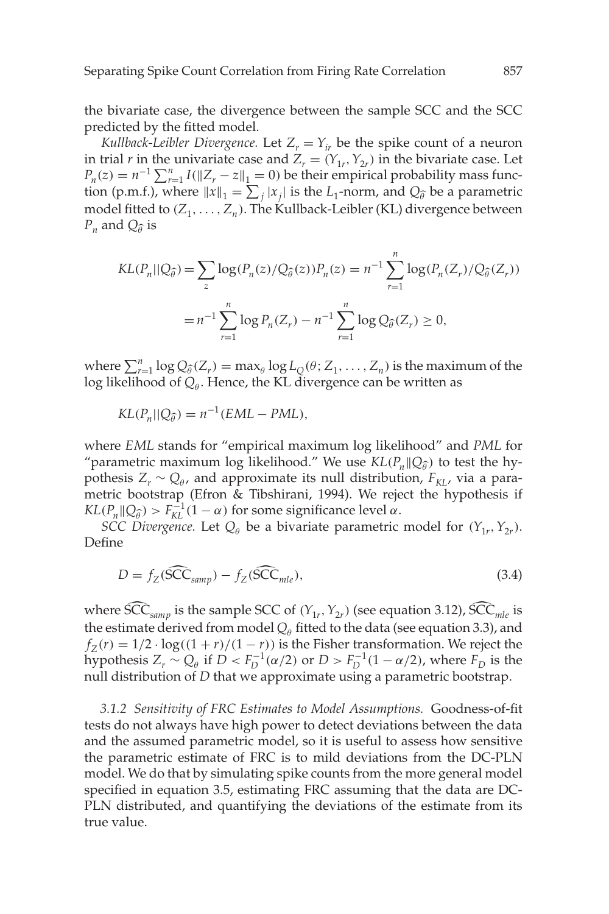the bivariate case, the divergence between the sample SCC and the SCC predicted by the fitted model.

*Kullback-Leibler Divergence.* Let  $Z_r = Y_{ir}$  be the spike count of a neuron in trial *r* in the univariate case and  $Z_r = (Y_{1r}, Y_{2r})$  in the bivariate case. Let  $P_n(z) = n^{-1} \sum_{r=1}^n I(||Z_r - z||_1 = 0)$  be their empirical probability mass function (p.m.f.), where  $||x||_1 = \sum_j |x_j|$  is the  $L_1$ -norm, and  $Q_{\hat{\theta}}$  be a parametric model fitted to  $(Z_1, \ldots, Z_n)$ . The Kullback-Leibler (KL) divergence between  $P_n$  and  $Q_{\widehat{\theta}}$  is

$$
KL(P_n||Q_{\hat{\theta}}) = \sum_{z} \log(P_n(z)/Q_{\hat{\theta}}(z))P_n(z) = n^{-1} \sum_{r=1}^n \log(P_n(Z_r)/Q_{\hat{\theta}}(Z_r))
$$
  
=  $n^{-1} \sum_{r=1}^n \log P_n(Z_r) - n^{-1} \sum_{r=1}^n \log Q_{\hat{\theta}}(Z_r) \ge 0$ ,

where  $\sum_{i=1}^{n} \log Q_{\hat{\theta}}(Z_i) = \max_{\theta} \log L_Q(\theta; Z_1, \ldots, Z_n)$  is the maximum of the log likelihood of  $Q_{\theta}$ . Hence, the KL divergence can be written as

$$
KL(P_n||Q_{\widehat{\theta}}) = n^{-1}(EML - PML),
$$

where *EML* stands for "empirical maximum log likelihood" and *PML* for "parametric maximum log likelihood." We use  $KL(P_n \| Q_{\hat{\theta}})$  to test the hypothesis  $Z_r \sim Q_\theta$ , and approximate its null distribution,  $F_{KL}$ , via a parametric bootstrap (Efron & Tibshirani, 1994). We reject the hypothesis if  $KL(P_n||Q_{\hat{\theta}}) > F_{KL}^{-1}(1-\alpha)$  for some significance level  $\alpha$ .

*SCC Divergence.* Let  $Q_{\theta}$  be a bivariate parametric model for  $(Y_{1r}, Y_{2r})$ . Define

$$
D = f_Z(\widehat{SCC}_{\text{amp}}) - f_Z(\widehat{SCC}_{\text{mle}}),\tag{3.4}
$$

where  $\widehat{SCC}_{\text{sampling}}$  is the sample SCC of  $(Y_{1r}, Y_{2r})$  (see equation 3.12),  $\widehat{SCC}_{\text{mle}}$  is the estimate derived from model  $Q_{\theta}$  fitted to the data (see equation 3.3), and  $f_Z(r) = 1/2 \cdot \log((1 + r)/(1 - r))$  is the Fisher transformation. We reject the hypothesis  $Z_r \sim Q_\theta$  if  $D < F_D^{-1}(\alpha/2)$  or  $D > F_D^{-1}(1 - \alpha/2)$ , where  $F_D$  is the null distribution of *D* that we approximate using a parametric bootstrap.

*3.1.2 Sensitivity of FRC Estimates to Model Assumptions.* Goodness-of-fit tests do not always have high power to detect deviations between the data and the assumed parametric model, so it is useful to assess how sensitive the parametric estimate of FRC is to mild deviations from the DC-PLN model. We do that by simulating spike counts from the more general model specified in equation 3.5, estimating FRC assuming that the data are DC-PLN distributed, and quantifying the deviations of the estimate from its true value.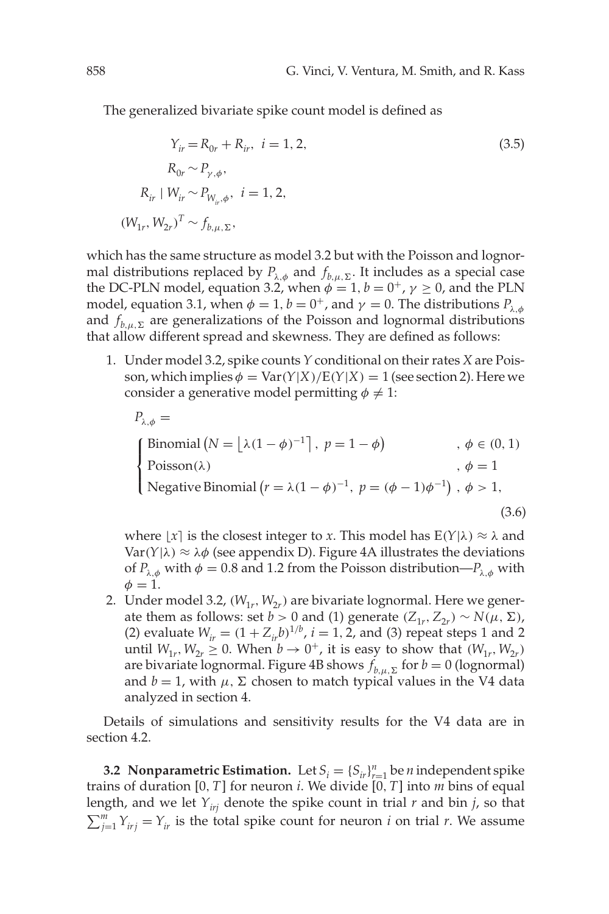The generalized bivariate spike count model is defined as

$$
Y_{ir} = R_{0r} + R_{ir}, \quad i = 1, 2,
$$
  
\n
$$
R_{0r} \sim P_{\gamma,\phi},
$$
  
\n
$$
R_{ir} \mid W_{ir} \sim P_{W_{ir},\phi}, \quad i = 1, 2,
$$
  
\n
$$
(W_{1r}, W_{2r})^T \sim f_{b,\mu,\Sigma},
$$
  
\n(3.5)

which has the same structure as model 3.2 but with the Poisson and lognormal distributions replaced by  $P_{\lambda,\phi}$  and  $f_{b,\mu,\Sigma}$ . It includes as a special case the DC-PLN model, equation 3.2, when  $\phi = 1$ ,  $b = 0^+$ ,  $\gamma \ge 0$ , and the PLN model, equation 3.1, when  $\phi = 1$ ,  $b = 0^+$ , and  $\gamma = 0$ . The distributions  $P_{\lambda,\phi}$ and  $f_{b,\mu,\Sigma}$  are generalizations of the Poisson and lognormal distributions that allow different spread and skewness. They are defined as follows:

1. Under model 3.2, spike counts *Y* conditional on their rates *X* are Poisson, which implies  $\phi = \text{Var}(Y|X)/E(Y|X) = 1$  (see section 2). Here we consider a generative model permitting  $\phi \neq 1$ :

$$
P_{\lambda,\phi} =
$$
\n
$$
\begin{cases}\n\text{Binomial } (N = \lfloor \lambda (1 - \phi)^{-1} \rfloor, \ p = 1 - \phi) & , \ \phi \in (0, 1) \\
\text{Poisson}(\lambda) & , \ \phi = 1 \\
\text{Negative Binomial } (r = \lambda (1 - \phi)^{-1}, \ p = (\phi - 1)\phi^{-1}), \ \phi > 1,\n\end{cases}
$$
\n
$$
(3.6)
$$

where  $\lfloor x \rfloor$  is the closest integer to *x*. This model has  $E(Y|\lambda) \approx \lambda$  and Var( $Y|\lambda$ )  $\approx \lambda \phi$  (see appendix D). Figure 4A illustrates the deviations of  $P_{\lambda,\phi}$  with  $\phi = 0.8$  and 1.2 from the Poisson distribution— $P_{\lambda,\phi}$  with  $\phi=1$ .

2. Under model 3.2,  $(W_{1r}, W_{2r})$  are bivariate lognormal. Here we generate them as follows: set *b* > 0 and (1) generate  $(Z_{1r}, Z_{2r}) \sim N(\mu, \Sigma)$ , (2) evaluate  $W_{ir} = (1 + Z_{ir}b)^{1/b}$ ,  $i = 1, 2$ , and (3) repeat steps 1 and 2 until  $W_{1r}$ ,  $W_{2r} \geq 0$ . When  $b \to 0^+$ , it is easy to show that  $(W_{1r}, W_{2r})$ are bivariate lognormal. Figure 4B shows  $f_{b,\mu,\Sigma}$  for  $b=0$  (lognormal) and  $b = 1$ , with  $\mu$ ,  $\Sigma$  chosen to match typical values in the V4 data analyzed in section 4.

Details of simulations and sensitivity results for the V4 data are in section 4.2.

**3.2 Nonparametric Estimation.** Let  $S_i = \{S_{ir}\}_{r=1}^n$  be *n* independent spike trains of duration [0, *T*] for neuron *i*. We divide [0, *T*] into *m* bins of equal length, and we let  $Y_{iri}$  denote the spike count in trial  $r$  and bin  $j$ , so that  $\sum_{j=1}^{m} Y_{irj} = Y_{ir}$  is the total spike count for neuron *i* on trial *r*. We assume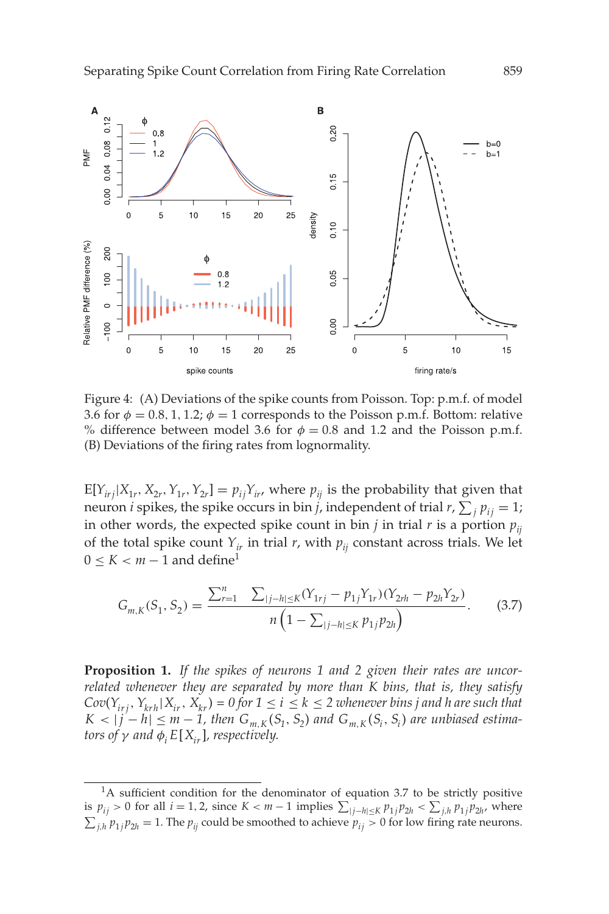

Figure 4: (A) Deviations of the spike counts from Poisson. Top: p.m.f. of model 3.6 for  $\phi = 0.8, 1, 1.2$ ;  $\phi = 1$  corresponds to the Poisson p.m.f. Bottom: relative % difference between model 3.6 for  $\phi = 0.8$  and 1.2 and the Poisson p.m.f. (B) Deviations of the firing rates from lognormality.

 $E[Y_{irj}|X_{1r}, X_{2r}, Y_{1r}, Y_{2r}] = p_{ij}Y_{ir}$ , where  $p_{ij}$  is the probability that given that neuron *i* spikes, the spike occurs in bin *j*, independent of trial  $r$ ,  $\sum_j p_{ij} = 1$ ; in other words, the expected spike count in bin *j* in trial *r* is a portion  $p_{ij}$ of the total spike count  $Y_{ir}$  in trial *r*, with  $p_{ii}$  constant across trials. We let  $0 \leq K < m - 1$  and define<sup>1</sup>

$$
G_{m,K}(S_1, S_2) = \frac{\sum_{r=1}^{n} \sum_{|j-h| \le K} (Y_{1rj} - p_{1j} Y_{1r}) (Y_{2rh} - p_{2h} Y_{2r})}{n \left(1 - \sum_{|j-h| \le K} p_{1j} p_{2h}\right)}.
$$
 (3.7)

**Proposition 1.** *If the spikes of neurons 1 and 2 given their rates are uncorrelated whenever they are separated by more than K bins, that is, they satisfy*  $Cov(Y_{irj}, Y_{krh}|X_{ir}, X_{kr}) = 0$  for  $1 \le i \le k \le 2$  whenever bins j and h are such that  $K < |j - h| \le m - 1$ , then  $G_{m,K}(S_1, S_2)$  and  $G_{m,K}(S_i, S_i)$  are unbiased estima*tors of*  $\gamma$  *and*  $\phi_i E[X_i]$ *, respectively.* 

<sup>&</sup>lt;sup>1</sup>A sufficient condition for the denominator of equation 3.7 to be strictly positive is  $p_{ij}$  > 0 for all *i* = 1, 2, since *K* < *m* − 1 implies  $\sum_{|j-h| \le K} p_{1j} p_{2h}$  <  $\sum_{j,h} p_{1j} p_{2h}$ , where  $\sum_{j,h} p_{1j} p_{2h} = 1$ . The  $p_{ij}$  could be smoothed to achieve  $p_{ij} > 0$  for low firing rate neurons.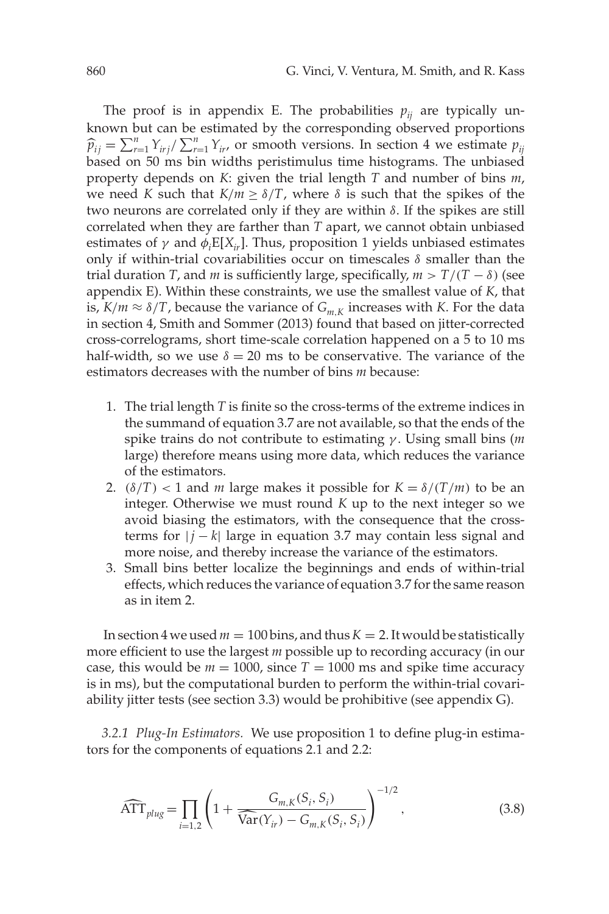The proof is in appendix E. The probabilities  $p_{ij}$  are typically unknown but can be estimated by the corresponding observed proportions  $\hat{p}_{ij} = \sum_{r=1}^{n} Y_{irj} / \sum_{r=1}^{n} Y_{ir}$ , or smooth versions. In section 4 we estimate  $p_{ij}$ based on 50 ms bin widths peristimulus time histograms. The unbiased property depends on *K*: given the trial length *T* and number of bins *m*, we need *K* such that  $K/m \ge \delta/T$ , where  $\delta$  is such that the spikes of the two neurons are correlated only if they are within  $\delta$ . If the spikes are still correlated when they are farther than *T* apart, we cannot obtain unbiased estimates of  $\gamma$  and  $\phi_i E[X_{ir}]$ . Thus, proposition 1 yields unbiased estimates only if within-trial covariabilities occur on timescales  $\delta$  smaller than the trial duration *T*, and *m* is sufficiently large, specifically,  $m > T/(T - \delta)$  (see appendix E). Within these constraints, we use the smallest value of *K*, that is,  $K/m \approx \delta/T$ , because the variance of  $G_{m,K}$  increases with *K*. For the data in section 4, Smith and Sommer (2013) found that based on jitter-corrected cross-correlograms, short time-scale correlation happened on a 5 to 10 ms half-width, so we use  $\delta = 20$  ms to be conservative. The variance of the estimators decreases with the number of bins *m* because:

- 1. The trial length *T* is finite so the cross-terms of the extreme indices in the summand of equation 3.7 are not available, so that the ends of the spike trains do not contribute to estimating γ . Using small bins (*m* large) therefore means using more data, which reduces the variance of the estimators.
- 2.  $(\delta/T)$  < 1 and *m* large makes it possible for  $K = \delta/(T/m)$  to be an integer. Otherwise we must round *K* up to the next integer so we avoid biasing the estimators, with the consequence that the crossterms for  $|j - k|$  large in equation 3.7 may contain less signal and more noise, and thereby increase the variance of the estimators.
- 3. Small bins better localize the beginnings and ends of within-trial effects, which reduces the variance of equation 3.7 for the same reason as in item 2.

In section 4 we used  $m = 100$  bins, and thus  $K = 2$ . It would be statistically more efficient to use the largest *m* possible up to recording accuracy (in our case, this would be  $m = 1000$ , since  $T = 1000$  ms and spike time accuracy is in ms), but the computational burden to perform the within-trial covariability jitter tests (see section 3.3) would be prohibitive (see appendix G).

*3.2.1 Plug-In Estimators.* We use proposition 1 to define plug-in estimators for the components of equations 2.1 and 2.2:

$$
\widehat{\text{ATT}}_{\text{plug}} = \prod_{i=1,2} \left( 1 + \frac{G_{m,K}(S_i, S_i)}{\widehat{\text{Var}}(Y_{ir}) - G_{m,K}(S_i, S_i)} \right)^{-1/2},\tag{3.8}
$$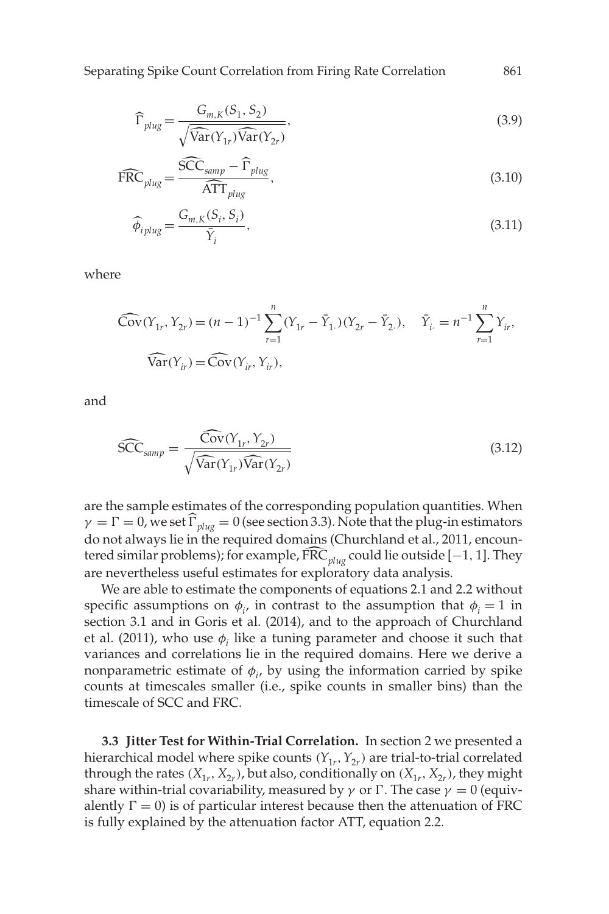Separating Spike Count Correlation from Firing Rate Correlation 861

$$
\widehat{\Gamma}_{\text{plug}} = \frac{G_{m,K}(S_1, S_2)}{\sqrt{\widehat{\text{Var}}(Y_{1r})\widehat{\text{Var}}(Y_{2r})}},\tag{3.9}
$$

$$
\widehat{\text{FRC}}_{\text{plug}} = \frac{\widehat{\text{SCC}}_{\text{samp}} - \widehat{\Gamma}_{\text{plug}}}{\widehat{\text{ATT}}_{\text{plug}}},\tag{3.10}
$$

$$
\widehat{\phi}_{i\text{plus}} = \frac{G_{m,\text{K}}(S_i, S_i)}{\bar{Y}_i},\tag{3.11}
$$

where

$$
\widehat{\text{Cov}}(Y_{1r}, Y_{2r}) = (n-1)^{-1} \sum_{r=1}^{n} (Y_{1r} - \bar{Y}_{1.})(Y_{2r} - \bar{Y}_{2.}), \quad \bar{Y}_{i.} = n^{-1} \sum_{r=1}^{n} Y_{i r},
$$
  

$$
\widehat{\text{Var}}(Y_{i r}) = \widehat{\text{Cov}}(Y_{i r}, Y_{i r}),
$$

and

$$
\widehat{SCC}_{\text{ samp}} = \frac{\widehat{\text{Cov}}(Y_{1r}, Y_{2r})}{\sqrt{\widehat{\text{Var}}(Y_{1r})\widehat{\text{Var}}(Y_{2r})}}
$$
(3.12)

are the sample estimates of the corresponding population quantities. When  $\gamma = \Gamma = 0$ , we set  $\widehat{\Gamma}_{\text{blue}} = 0$  (see section 3.3). Note that the plug-in estimators do not always lie in the required domains (Churchland et al., 2011, encountered similar problems); for example,  $\widehat{FRC}_{glue}$  could lie outside [−1, 1]. They are nevertheless useful estimates for exploratory data analysis.

We are able to estimate the components of equations 2.1 and 2.2 without specific assumptions on  $\phi_i$ , in contrast to the assumption that  $\phi_i = 1$  in section 3.1 and in Goris et al. (2014), and to the approach of Churchland et al. (2011), who use  $\phi_i$  like a tuning parameter and choose it such that variances and correlations lie in the required domains. Here we derive a nonparametric estimate of  $\phi_i$ , by using the information carried by spike counts at timescales smaller (i.e., spike counts in smaller bins) than the timescale of SCC and FRC.

**3.3 Jitter Test for Within-Trial Correlation.** In section 2 we presented a hierarchical model where spike counts  $(Y_{1r}, Y_{2r})$  are trial-to-trial correlated through the rates  $(X_{1r}, X_{2r})$ , but also, conditionally on  $(X_{1r}, X_{2r})$ , they might share within-trial covariability, measured by  $\gamma$  or  $\Gamma$ . The case  $\gamma = 0$  (equivalently  $\Gamma = 0$ ) is of particular interest because then the attenuation of FRC is fully explained by the attenuation factor ATT, equation 2.2.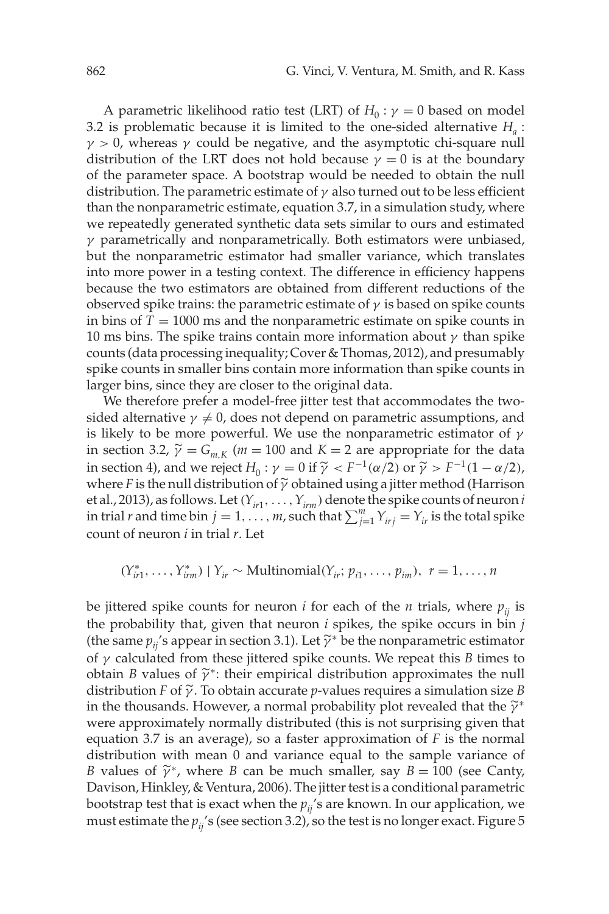A parametric likelihood ratio test (LRT) of  $H_0: \gamma = 0$  based on model 3.2 is problematic because it is limited to the one-sided alternative  $H_a$ :  $\gamma > 0$ , whereas  $\gamma$  could be negative, and the asymptotic chi-square null distribution of the LRT does not hold because  $\gamma = 0$  is at the boundary of the parameter space. A bootstrap would be needed to obtain the null distribution. The parametric estimate of  $\gamma$  also turned out to be less efficient than the nonparametric estimate, equation 3.7, in a simulation study, where we repeatedly generated synthetic data sets similar to ours and estimated  $\gamma$  parametrically and nonparametrically. Both estimators were unbiased, but the nonparametric estimator had smaller variance, which translates into more power in a testing context. The difference in efficiency happens because the two estimators are obtained from different reductions of the observed spike trains: the parametric estimate of  $\gamma$  is based on spike counts in bins of  $T = 1000$  ms and the nonparametric estimate on spike counts in 10 ms bins. The spike trains contain more information about  $\gamma$  than spike counts (data processing inequality; Cover & Thomas, 2012), and presumably spike counts in smaller bins contain more information than spike counts in larger bins, since they are closer to the original data.

We therefore prefer a model-free jitter test that accommodates the twosided alternative  $\gamma \neq 0$ , does not depend on parametric assumptions, and is likely to be more powerful. We use the nonparametric estimator of  $\gamma$ in section 3.2,  $\widetilde{\gamma} = G_{mK}$  ( $m = 100$  and  $K = 2$  are appropriate for the data in section 4), and we reject  $H_0$ :  $\gamma = 0$  if  $\tilde{\gamma} < F^{-1}(\alpha/2)$  or  $\tilde{\gamma} > F^{-1}(1 - \alpha/2)$ , where *F* is the null distribution of  $\tilde{\gamma}$  obtained using a jitter method (Harrison et al., 2013), as follows. Let  $(Y_{ir1},...,Y_{irm})$  denote the spike counts of neuron *i* in trial *r* and time bin  $j = 1, ..., m$ , such that  $\sum_{j=1}^{m} Y_{irj} = Y_{ir}$  is the total spike count of neuron *i* in trial *r*. Let

$$
(Y_{ir1}^*,..., Y_{irm}^*) | Y_{ir} \sim Multinomial(Y_{ir}; p_{i1},..., p_{im}), r = 1,..., n
$$

be jittered spike counts for neuron *i* for each of the *n* trials, where  $p_{ii}$  is the probability that, given that neuron *i* spikes, the spike occurs in bin *j* (the same  $p_{ii}$ 's appear in section 3.1). Let  $\widetilde{\gamma}^*$  be the nonparametric estimator of γ calculated from these jittered spike counts. We repeat this *B* times to obtain *B* values of  $\tilde{\gamma}^*$ : their empirical distribution approximates the null distribution *F* of  $\tilde{\gamma}$ . To obtain accurate *p*-values requires a simulation size *B* in the thousands. However, a normal probability plot revealed that the  $\tilde{\gamma}^*$ were approximately normally distributed (this is not surprising given that equation 3.7 is an average), so a faster approximation of *F* is the normal distribution with mean 0 and variance equal to the sample variance of *B* values of  $\widetilde{\gamma}^*$ , where *B* can be much smaller, say *B* = 100 (see Canty, Davison, Hinkley, & Ventura, 2006). The jitter test is a conditional parametric bootstrap test that is exact when the  $p_{ii}$ 's are known. In our application, we must estimate the  $p_{ij}$ 's (see section 3.2), so the test is no longer exact. Figure 5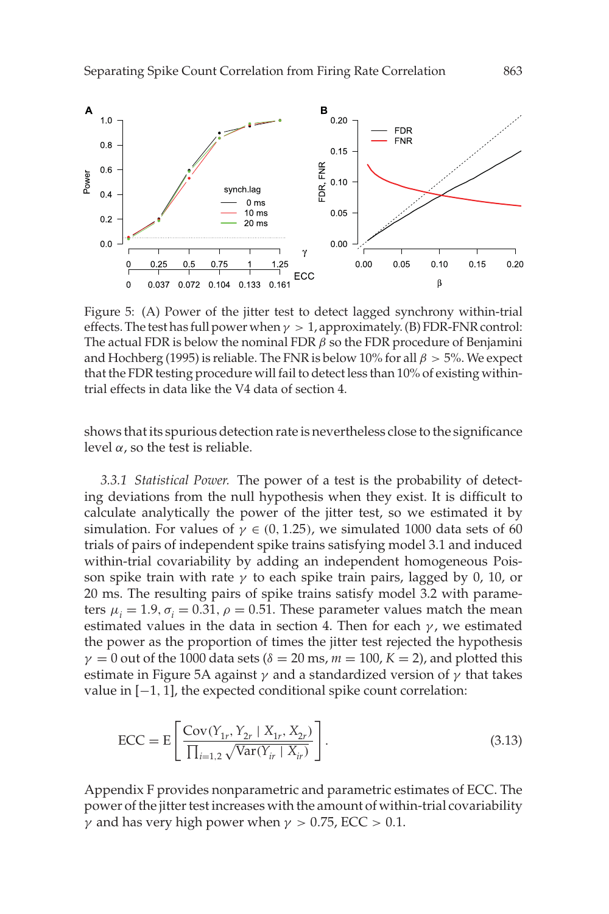

Figure 5: (A) Power of the jitter test to detect lagged synchrony within-trial effects. The test has full power when  $\gamma > 1$ , approximately. (B) FDR-FNR control: The actual FDR is below the nominal FDR  $\beta$  so the FDR procedure of Benjamini and Hochberg (1995) is reliable. The FNR is below 10% for all  $\beta > 5$ %. We expect that the FDR testing procedure will fail to detect less than 10% of existing withintrial effects in data like the V4 data of section 4.

shows that its spurious detection rate is nevertheless close to the significance level  $\alpha$ , so the test is reliable.

*3.3.1 Statistical Power.* The power of a test is the probability of detecting deviations from the null hypothesis when they exist. It is difficult to calculate analytically the power of the jitter test, so we estimated it by simulation. For values of  $\gamma \in (0, 1.25)$ , we simulated 1000 data sets of 60 trials of pairs of independent spike trains satisfying model 3.1 and induced within-trial covariability by adding an independent homogeneous Poisson spike train with rate  $\gamma$  to each spike train pairs, lagged by 0, 10, or 20 ms. The resulting pairs of spike trains satisfy model 3.2 with parameters  $\mu_i = 1.9$ ,  $\sigma_i = 0.31$ ,  $\rho = 0.51$ . These parameter values match the mean estimated values in the data in section 4. Then for each  $\gamma$ , we estimated the power as the proportion of times the jitter test rejected the hypothesis  $\gamma = 0$  out of the 1000 data sets ( $\delta = 20$  ms,  $m = 100$ ,  $K = 2$ ), and plotted this estimate in Figure 5A against  $\gamma$  and a standardized version of  $\gamma$  that takes value in [−1, 1], the expected conditional spike count correlation:

$$
ECC = E\left[\frac{Cov(Y_{1r}, Y_{2r} | X_{1r}, X_{2r})}{\prod_{i=1,2} \sqrt{Var(Y_{ir} | X_{ir})}}\right].
$$
\n(3.13)

Appendix F provides nonparametric and parametric estimates of ECC. The power of the jitter test increases with the amount of within-trial covariability  $\gamma$  and has very high power when  $\gamma > 0.75$ , ECC  $> 0.1$ .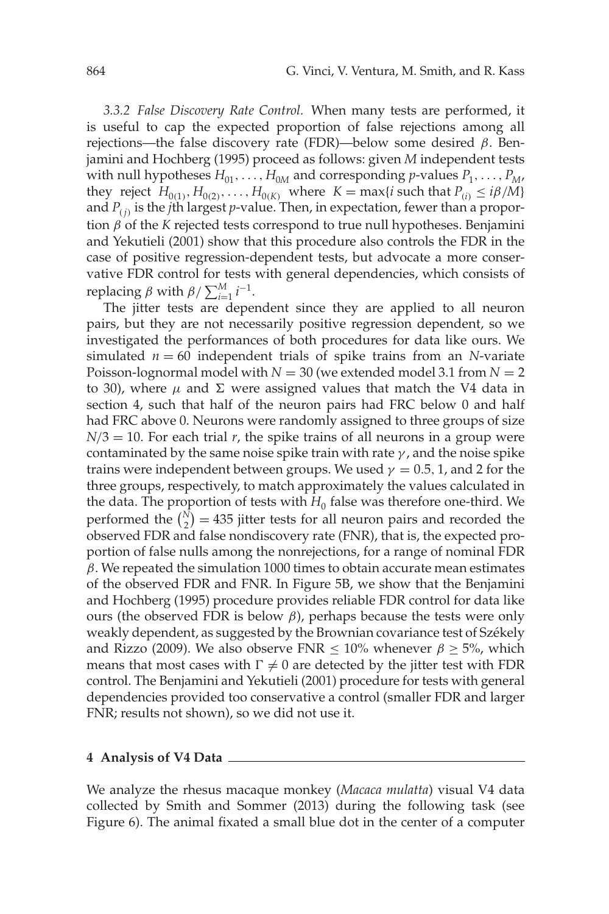*3.3.2 False Discovery Rate Control.* When many tests are performed, it is useful to cap the expected proportion of false rejections among all rejections—the false discovery rate (FDR)—below some desired  $β$ . Benjamini and Hochberg (1995) proceed as follows: given *M* independent tests with null hypotheses  $H_{01}, \ldots, H_{0M}$  and corresponding *p*-values  $P_1, \ldots, P_M$ , they reject *H*<sub>0(1)</sub>, *H*<sub>0(2)</sub>,..., *H*<sub>0(*K*)</sub> where *K* = max{*i* such that *P*<sub>(*i*)</sub> ≤ *iB*/*M*} and  $P_{(i)}$  is the *j*th largest *p*-value. Then, in expectation, fewer than a proportion β of the *K* rejected tests correspond to true null hypotheses. Benjamini and Yekutieli (2001) show that this procedure also controls the FDR in the case of positive regression-dependent tests, but advocate a more conservative FDR control for tests with general dependencies, which consists of replacing *β* with  $β / ∑<sup>M</sup><sub>i=1</sub> i<sup>-1</sup>$ .

The jitter tests are dependent since they are applied to all neuron pairs, but they are not necessarily positive regression dependent, so we investigated the performances of both procedures for data like ours. We simulated  $n = 60$  independent trials of spike trains from an *N*-variate Poisson-lognormal model with  $N = 30$  (we extended model 3.1 from  $N = 2$ ) to 30), where  $\mu$  and Σ were assigned values that match the V4 data in section 4, such that half of the neuron pairs had FRC below 0 and half had FRC above 0. Neurons were randomly assigned to three groups of size  $N/3 = 10$ . For each trial *r*, the spike trains of all neurons in a group were contaminated by the same noise spike train with rate  $\gamma$ , and the noise spike trains were independent between groups. We used  $\gamma = 0.5, 1$ , and 2 for the three groups, respectively, to match approximately the values calculated in the data. The proportion of tests with  $H_0$  false was therefore one-third. We performed the  $\binom{N}{2} = 435$  jitter tests for all neuron pairs and recorded the observed FDR and false nondiscovery rate (FNR), that is, the expected proportion of false nulls among the nonrejections, for a range of nominal FDR  $\beta$ . We repeated the simulation 1000 times to obtain accurate mean estimates of the observed FDR and FNR. In Figure 5B, we show that the Benjamini and Hochberg (1995) procedure provides reliable FDR control for data like ours (the observed FDR is below β), perhaps because the tests were only weakly dependent, as suggested by the Brownian covariance test of Székely and Rizzo (2009). We also observe FNR  $\leq 10\%$  whenever  $\beta \geq 5\%$ , which means that most cases with  $\Gamma \neq 0$  are detected by the jitter test with FDR control. The Benjamini and Yekutieli (2001) procedure for tests with general dependencies provided too conservative a control (smaller FDR and larger FNR; results not shown), so we did not use it.

#### **4 Analysis of V4 Data**

We analyze the rhesus macaque monkey (*Macaca mulatta*) visual V4 data collected by Smith and Sommer (2013) during the following task (see Figure 6). The animal fixated a small blue dot in the center of a computer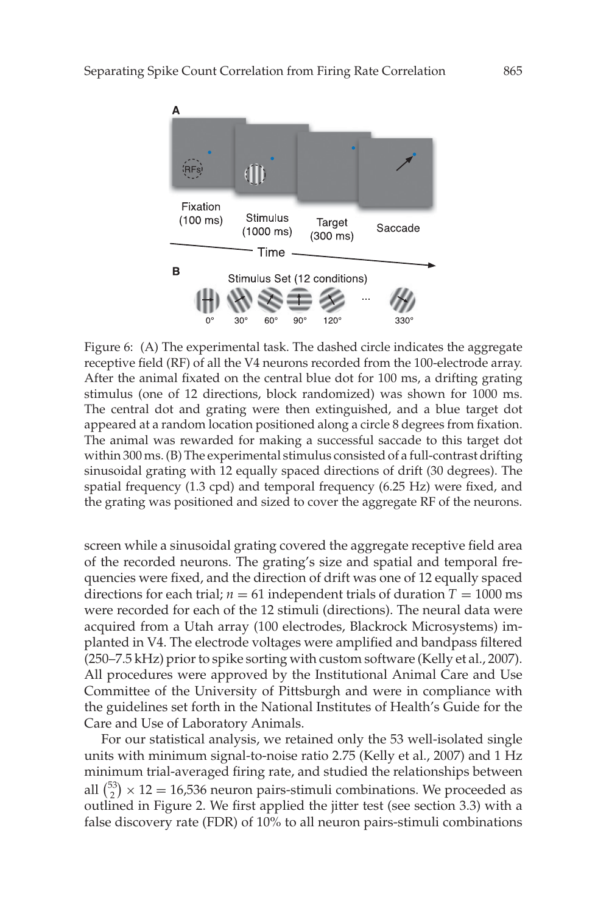

Figure 6: (A) The experimental task. The dashed circle indicates the aggregate receptive field (RF) of all the V4 neurons recorded from the 100-electrode array. After the animal fixated on the central blue dot for 100 ms, a drifting grating stimulus (one of 12 directions, block randomized) was shown for 1000 ms. The central dot and grating were then extinguished, and a blue target dot appeared at a random location positioned along a circle 8 degrees from fixation. The animal was rewarded for making a successful saccade to this target dot within 300 ms. (B) The experimental stimulus consisted of a full-contrast drifting sinusoidal grating with 12 equally spaced directions of drift (30 degrees). The spatial frequency (1.3 cpd) and temporal frequency (6.25 Hz) were fixed, and the grating was positioned and sized to cover the aggregate RF of the neurons.

screen while a sinusoidal grating covered the aggregate receptive field area of the recorded neurons. The grating's size and spatial and temporal frequencies were fixed, and the direction of drift was one of 12 equally spaced directions for each trial;  $n = 61$  independent trials of duration  $T = 1000$  ms were recorded for each of the 12 stimuli (directions). The neural data were acquired from a Utah array (100 electrodes, Blackrock Microsystems) implanted in V4. The electrode voltages were amplified and bandpass filtered (250–7.5 kHz) prior to spike sorting with custom software (Kelly et al., 2007). All procedures were approved by the Institutional Animal Care and Use Committee of the University of Pittsburgh and were in compliance with the guidelines set forth in the National Institutes of Health's Guide for the Care and Use of Laboratory Animals.

For our statistical analysis, we retained only the 53 well-isolated single units with minimum signal-to-noise ratio 2.75 (Kelly et al., 2007) and 1 Hz minimum trial-averaged firing rate, and studied the relationships between all  $\binom{53}{2}$  × 12 = 16,536 neuron pairs-stimuli combinations. We proceeded as outlined in Figure 2. We first applied the jitter test (see section 3.3) with a false discovery rate (FDR) of 10% to all neuron pairs-stimuli combinations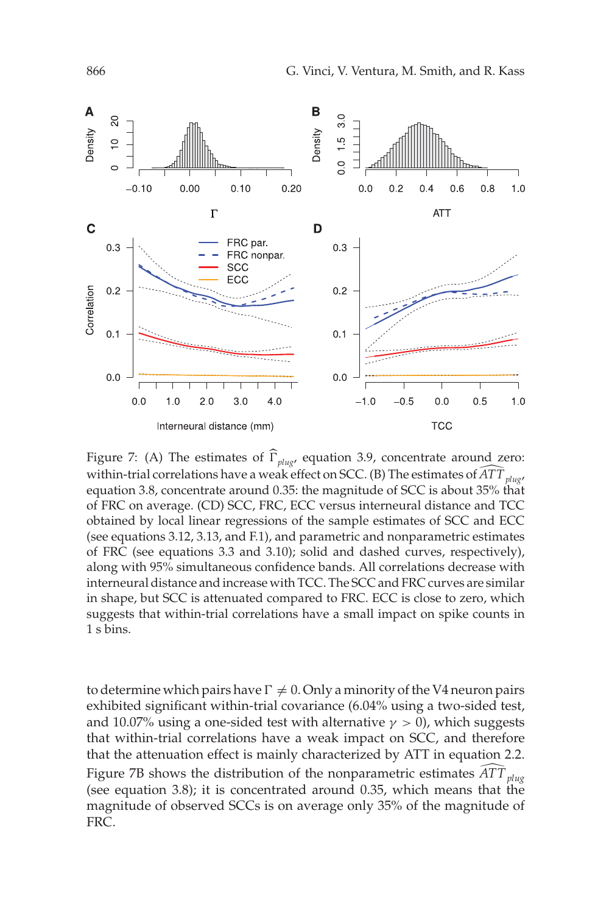

Figure 7: (A) The estimates of  $\widehat{\Gamma}_{\text{plug}}$ , equation 3.9, concentrate around zero: within-trial correlations have a weak effect on SCC. (B) The estimates of  $\widehat{ATT}_{plug}$ equation 3.8, concentrate around 0.35: the magnitude of SCC is about 35% that of FRC on average. (CD) SCC, FRC, ECC versus interneural distance and TCC obtained by local linear regressions of the sample estimates of SCC and ECC (see equations 3.12, 3.13, and F.1), and parametric and nonparametric estimates of FRC (see equations 3.3 and 3.10); solid and dashed curves, respectively), along with 95% simultaneous confidence bands. All correlations decrease with interneural distance and increase with TCC. The SCC and FRC curves are similar in shape, but SCC is attenuated compared to FRC. ECC is close to zero, which suggests that within-trial correlations have a small impact on spike counts in 1 s bins.

to determine which pairs have  $\Gamma \neq 0$ . Only a minority of the V4 neuron pairs exhibited significant within-trial covariance (6.04% using a two-sided test, and 10.07% using a one-sided test with alternative  $\gamma > 0$ ), which suggests that within-trial correlations have a weak impact on SCC, and therefore that the attenuation effect is mainly characterized by ATT in equation 2.2. Figure 7B shows the distribution of the nonparametric estimates  $\widehat{ATT}_{plug}$ (see equation 3.8); it is concentrated around 0.35, which means that the magnitude of observed SCCs is on average only 35% of the magnitude of FRC.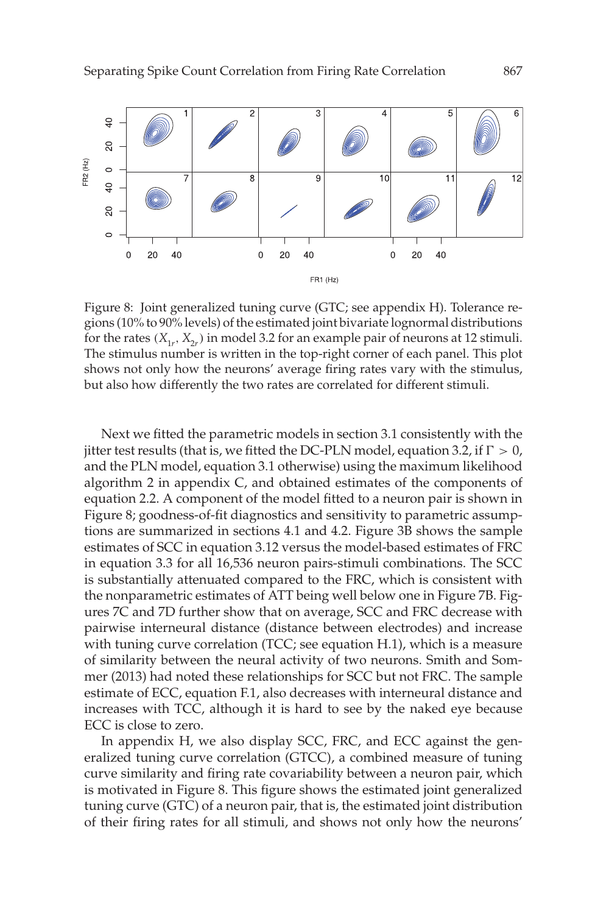

Figure 8: Joint generalized tuning curve (GTC; see appendix H). Tolerance regions (10% to 90% levels) of the estimated joint bivariate lognormal distributions for the rates  $(X_{1r}, X_{2r})$  in model 3.2 for an example pair of neurons at 12 stimuli. The stimulus number is written in the top-right corner of each panel. This plot shows not only how the neurons' average firing rates vary with the stimulus, but also how differently the two rates are correlated for different stimuli.

Next we fitted the parametric models in section 3.1 consistently with the jitter test results (that is, we fitted the DC-PLN model, equation 3.2, if  $\Gamma > 0$ , and the PLN model, equation 3.1 otherwise) using the maximum likelihood algorithm 2 in appendix C, and obtained estimates of the components of equation 2.2. A component of the model fitted to a neuron pair is shown in Figure 8; goodness-of-fit diagnostics and sensitivity to parametric assumptions are summarized in sections 4.1 and 4.2. Figure 3B shows the sample estimates of SCC in equation 3.12 versus the model-based estimates of FRC in equation 3.3 for all 16,536 neuron pairs-stimuli combinations. The SCC is substantially attenuated compared to the FRC, which is consistent with the nonparametric estimates of ATT being well below one in Figure 7B. Figures 7C and 7D further show that on average, SCC and FRC decrease with pairwise interneural distance (distance between electrodes) and increase with tuning curve correlation (TCC; see equation H.1), which is a measure of similarity between the neural activity of two neurons. Smith and Sommer (2013) had noted these relationships for SCC but not FRC. The sample estimate of ECC, equation F.1, also decreases with interneural distance and increases with TCC, although it is hard to see by the naked eye because ECC is close to zero.

In appendix H, we also display SCC, FRC, and ECC against the generalized tuning curve correlation (GTCC), a combined measure of tuning curve similarity and firing rate covariability between a neuron pair, which is motivated in Figure 8. This figure shows the estimated joint generalized tuning curve (GTC) of a neuron pair, that is, the estimated joint distribution of their firing rates for all stimuli, and shows not only how the neurons'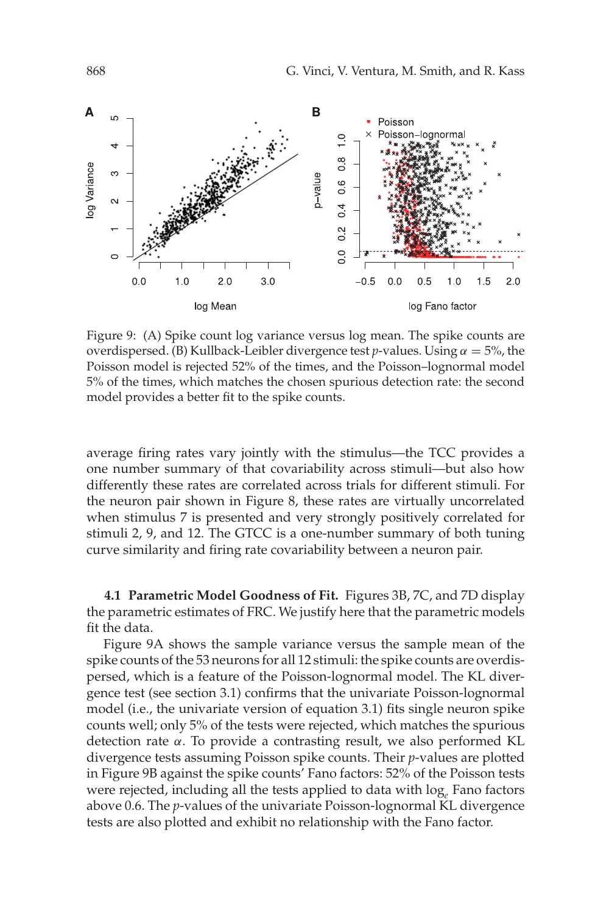

Figure 9: (A) Spike count log variance versus log mean. The spike counts are overdispersed. (B) Kullback-Leibler divergence test *p*-values. Using  $\alpha = 5\%$ , the Poisson model is rejected 52% of the times, and the Poisson–lognormal model 5% of the times, which matches the chosen spurious detection rate: the second model provides a better fit to the spike counts.

average firing rates vary jointly with the stimulus—the TCC provides a one number summary of that covariability across stimuli—but also how differently these rates are correlated across trials for different stimuli. For the neuron pair shown in Figure 8, these rates are virtually uncorrelated when stimulus 7 is presented and very strongly positively correlated for stimuli 2, 9, and 12. The GTCC is a one-number summary of both tuning curve similarity and firing rate covariability between a neuron pair.

**4.1 Parametric Model Goodness of Fit.** Figures 3B, 7C, and 7D display the parametric estimates of FRC. We justify here that the parametric models fit the data.

Figure 9A shows the sample variance versus the sample mean of the spike counts of the 53 neurons for all 12 stimuli: the spike counts are overdispersed, which is a feature of the Poisson-lognormal model. The KL divergence test (see section 3.1) confirms that the univariate Poisson-lognormal model (i.e., the univariate version of equation 3.1) fits single neuron spike counts well; only 5% of the tests were rejected, which matches the spurious detection rate α. To provide a contrasting result, we also performed KL divergence tests assuming Poisson spike counts. Their *p*-values are plotted in Figure 9B against the spike counts' Fano factors: 52% of the Poisson tests were rejected, including all the tests applied to data with log<sub>e</sub> Fano factors above 0.6. The *p*-values of the univariate Poisson-lognormal KL divergence tests are also plotted and exhibit no relationship with the Fano factor.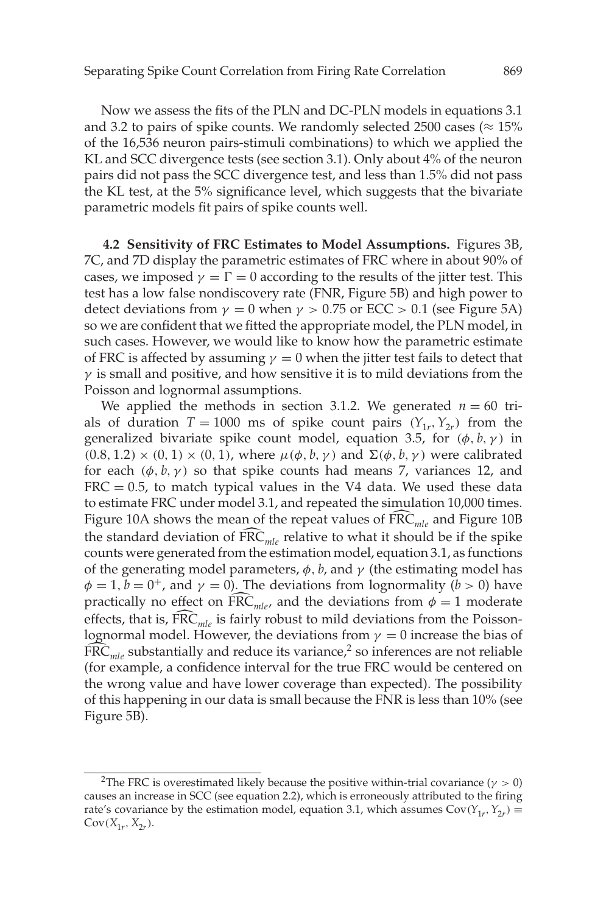Now we assess the fits of the PLN and DC-PLN models in equations 3.1 and 3.2 to pairs of spike counts. We randomly selected 2500 cases ( $\approx 15\%$ ) of the 16,536 neuron pairs-stimuli combinations) to which we applied the KL and SCC divergence tests (see section 3.1). Only about 4% of the neuron pairs did not pass the SCC divergence test, and less than 1.5% did not pass the KL test, at the 5% significance level, which suggests that the bivariate parametric models fit pairs of spike counts well.

**4.2 Sensitivity of FRC Estimates to Model Assumptions.** Figures 3B, 7C, and 7D display the parametric estimates of FRC where in about 90% of cases, we imposed  $\gamma = \Gamma = 0$  according to the results of the jitter test. This test has a low false nondiscovery rate (FNR, Figure 5B) and high power to detect deviations from  $\gamma = 0$  when  $\gamma > 0.75$  or ECC  $> 0.1$  (see Figure 5A) so we are confident that we fitted the appropriate model, the PLN model, in such cases. However, we would like to know how the parametric estimate of FRC is affected by assuming  $\gamma = 0$  when the jitter test fails to detect that  $\gamma$  is small and positive, and how sensitive it is to mild deviations from the Poisson and lognormal assumptions.

We applied the methods in section 3.1.2. We generated  $n = 60$  trials of duration  $T = 1000$  ms of spike count pairs  $(Y_{1r}, Y_{2r})$  from the generalized bivariate spike count model, equation 3.5, for  $(\phi, b, \gamma)$  in  $(0.8, 1.2) \times (0, 1) \times (0, 1)$ , where  $\mu(\phi, b, \gamma)$  and  $\Sigma(\phi, b, \gamma)$  were calibrated for each  $(\phi, b, \gamma)$  so that spike counts had means 7, variances 12, and  $FRC = 0.5$ , to match typical values in the V4 data. We used these data to estimate FRC under model 3.1, and repeated the simulation 10,000 times. Figure 10A shows the mean of the repeat values of FRC<sub>mle</sub> and Figure 10B the standard deviation of  $\widehat{FRC}_{ml}$  relative to what it should be if the spike counts were generated from the estimation model, equation 3.1, as functions of the generating model parameters,  $\phi$ , *b*, and  $\gamma$  (the estimating model has  $\phi = 1, b = 0^+$ , and  $\gamma = 0$ ). The deviations from lognormality (*b* > 0) have practically no effect on  $\overline{FRC}_{mle}$ , and the deviations from  $\phi = 1$  moderate effects, that is,  $\widehat{\text{FRC}}_{ml}$  is fairly robust to mild deviations from the Poissonlognormal model. However, the deviations from  $\gamma = 0$  increase the bias of  $\widehat{FRC}_{mle}$  substantially and reduce its variance,<sup>2</sup> so inferences are not reliable (for example, a confidence interval for the true FRC would be centered on the wrong value and have lower coverage than expected). The possibility of this happening in our data is small because the FNR is less than 10% (see Figure 5B).

<sup>&</sup>lt;sup>2</sup>The FRC is overestimated likely because the positive within-trial covariance ( $\gamma > 0$ ) causes an increase in SCC (see equation 2.2), which is erroneously attributed to the firing rate's covariance by the estimation model, equation 3.1, which assumes  $Cov(Y_1, Y_2) \equiv$  $Cov(X_{1r}, X_{2r}).$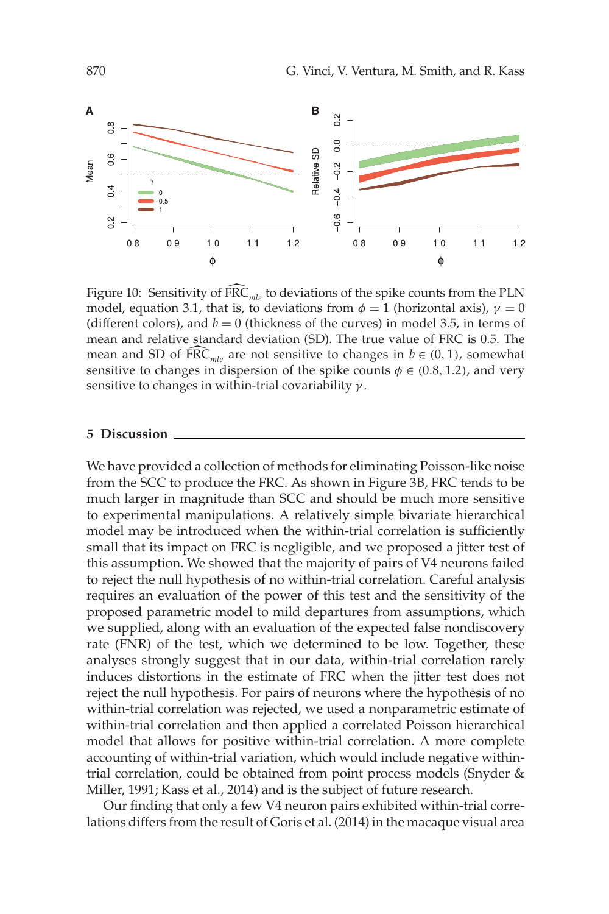

Figure 10: Sensitivity of FRC<sub>*mle*</sub> to deviations of the spike counts from the PLN model, equation 3.1, that is, to deviations from  $\phi = 1$  (horizontal axis),  $\gamma = 0$ (different colors), and  $b = 0$  (thickness of the curves) in model 3.5, in terms of mean and relative standard deviation (SD). The true value of FRC is 0.5. The mean and SD of  $\widehat{FRC}_{mle}$  are not sensitive to changes in  $b \in (0, 1)$ , somewhat sensitive to changes in dispersion of the spike counts  $\phi \in (0.8, 1.2)$ , and very sensitive to changes in within-trial covariability  $\gamma$ .

#### **5 Discussion**

We have provided a collection of methods for eliminating Poisson-like noise from the SCC to produce the FRC. As shown in Figure 3B, FRC tends to be much larger in magnitude than SCC and should be much more sensitive to experimental manipulations. A relatively simple bivariate hierarchical model may be introduced when the within-trial correlation is sufficiently small that its impact on FRC is negligible, and we proposed a jitter test of this assumption. We showed that the majority of pairs of V4 neurons failed to reject the null hypothesis of no within-trial correlation. Careful analysis requires an evaluation of the power of this test and the sensitivity of the proposed parametric model to mild departures from assumptions, which we supplied, along with an evaluation of the expected false nondiscovery rate (FNR) of the test, which we determined to be low. Together, these analyses strongly suggest that in our data, within-trial correlation rarely induces distortions in the estimate of FRC when the jitter test does not reject the null hypothesis. For pairs of neurons where the hypothesis of no within-trial correlation was rejected, we used a nonparametric estimate of within-trial correlation and then applied a correlated Poisson hierarchical model that allows for positive within-trial correlation. A more complete accounting of within-trial variation, which would include negative withintrial correlation, could be obtained from point process models (Snyder & Miller, 1991; Kass et al., 2014) and is the subject of future research.

Our finding that only a few V4 neuron pairs exhibited within-trial correlations differs from the result of Goris et al. (2014) in the macaque visual area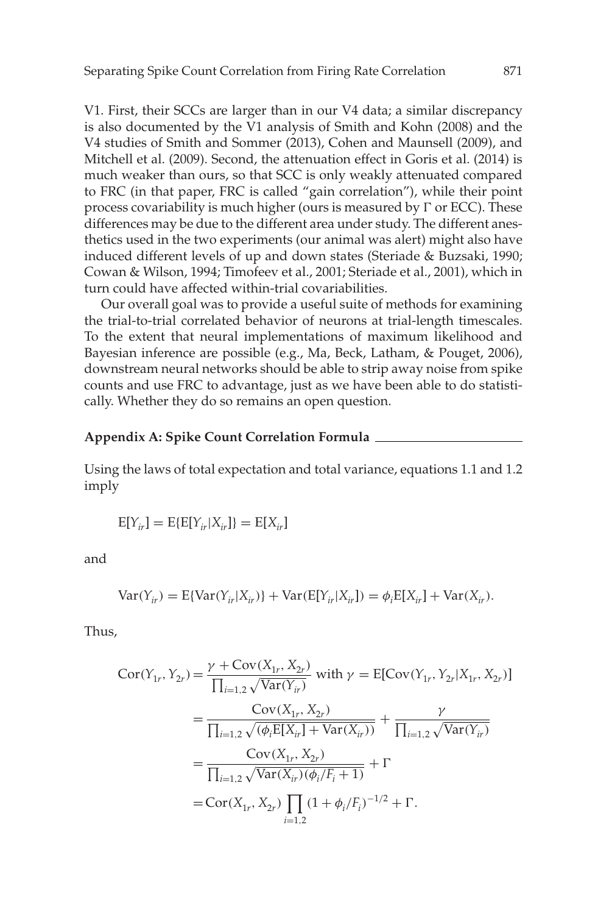V1. First, their SCCs are larger than in our V4 data; a similar discrepancy is also documented by the V1 analysis of Smith and Kohn (2008) and the V4 studies of Smith and Sommer (2013), Cohen and Maunsell (2009), and Mitchell et al. (2009). Second, the attenuation effect in Goris et al. (2014) is much weaker than ours, so that SCC is only weakly attenuated compared to FRC (in that paper, FRC is called "gain correlation"), while their point process covariability is much higher (ours is measured by  $\Gamma$  or ECC). These differences may be due to the different area under study. The different anesthetics used in the two experiments (our animal was alert) might also have induced different levels of up and down states (Steriade & Buzsaki, 1990; Cowan & Wilson, 1994; Timofeev et al., 2001; Steriade et al., 2001), which in turn could have affected within-trial covariabilities.

Our overall goal was to provide a useful suite of methods for examining the trial-to-trial correlated behavior of neurons at trial-length timescales. To the extent that neural implementations of maximum likelihood and Bayesian inference are possible (e.g., Ma, Beck, Latham, & Pouget, 2006), downstream neural networks should be able to strip away noise from spike counts and use FRC to advantage, just as we have been able to do statistically. Whether they do so remains an open question.

# **Appendix A: Spike Count Correlation Formula**

Using the laws of total expectation and total variance, equations 1.1 and 1.2 imply

$$
E[Y_{ir}] = E\{E[Y_{ir}|X_{ir}]\} = E[X_{ir}]
$$

and

$$
Var(Y_{ir}) = E\{Var(Y_{ir}|X_{ir})\} + Var(E[Y_{ir}|X_{ir}]) = \phi_i E[X_{ir}] + Var(X_{ir}).
$$

Thus,

$$
Cor(Y_{1r}, Y_{2r}) = \frac{\gamma + Cov(X_{1r}, X_{2r})}{\prod_{i=1,2} \sqrt{Var(Y_{i r})}} \text{ with } \gamma = E[Cov(Y_{1r}, Y_{2r} | X_{1r}, X_{2r})]
$$
  
= 
$$
\frac{Cov(X_{1r}, X_{2r})}{\prod_{i=1,2} \sqrt{(\phi_i E[X_{i r}] + Var(X_{i r}))}} + \frac{\gamma}{\prod_{i=1,2} \sqrt{Var(Y_{i r})}}
$$
  
= 
$$
\frac{Cov(X_{1r}, X_{2r})}{\prod_{i=1,2} \sqrt{Var(X_{i r})(\phi_i/F_i + 1)}} + \Gamma
$$
  
= 
$$
Cor(X_{1r}, X_{2r}) \prod_{i=1,2} (1 + \phi_i/F_i)^{-1/2} + \Gamma.
$$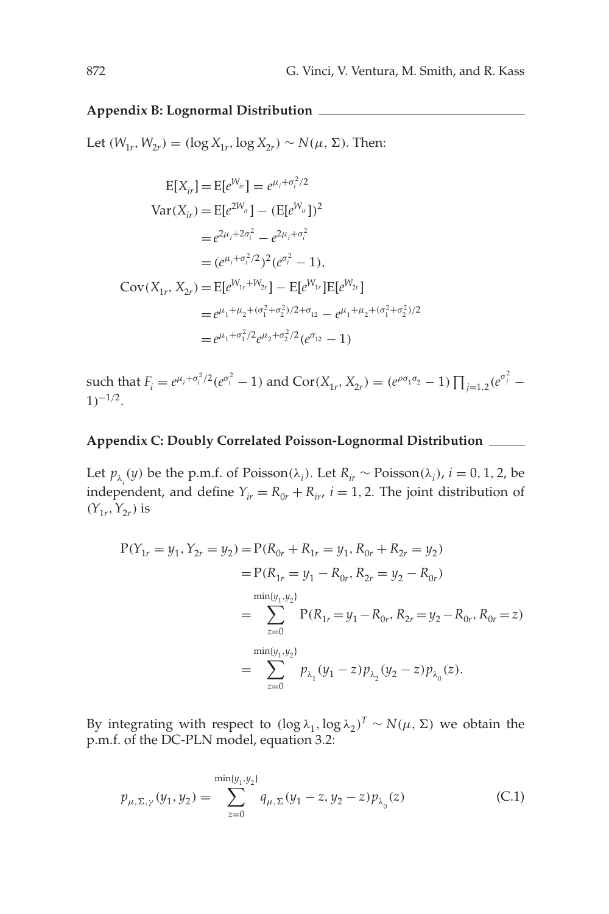## **Appendix B: Lognormal Distribution**

Let  $(W_{1r}, W_{2r}) = (\log X_{1r}, \log X_{2r})$  ∼  $N(\mu, \Sigma)$ . Then:

$$
E[X_{ir}] = E[e^{W_{ir}}] = e^{\mu_i + \sigma_i^2/2}
$$
  
\n
$$
Var(X_{ir}) = E[e^{2W_{ir}}] - (E[e^{W_{ir}}])^2
$$
  
\n
$$
= e^{2\mu_i + 2\sigma_i^2} - e^{2\mu_i + \sigma_i^2}
$$
  
\n
$$
= (e^{\mu_i + \sigma_i^2/2})^2 (e^{\sigma_i^2} - 1),
$$
  
\n
$$
Cov(X_{1r}, X_{2r}) = E[e^{W_{1r} + W_{2r}}] - E[e^{W_{1r}}]E[e^{W_{2r}}]
$$
  
\n
$$
= e^{\mu_1 + \mu_2 + (\sigma_1^2 + \sigma_2^2)/2 + \sigma_{12}} - e^{\mu_1 + \mu_2 + (\sigma_1^2 + \sigma_2^2)/2}
$$
  
\n
$$
= e^{\mu_1 + \sigma_1^2/2} e^{\mu_2 + \sigma_2^2/2} (e^{\sigma_{12}} - 1)
$$

such that  $F_i = e^{\mu_i + \sigma_i^2/2} (e^{\sigma_i^2} - 1)$  and  $Cor(X_{1r}, X_{2r}) = (e^{\rho \sigma_1 \sigma_2} - 1) \prod_{j=1,2} (e^{\sigma_j^2} - 1)$  $1)^{-1/2}$ .

# **Appendix C: Doubly Correlated Poisson-Lognormal Distribution**

Let  $p_{\lambda_i}(y)$  be the p.m.f. of Poisson( $\lambda_i$ ). Let  $R_{ir} \sim \text{Poisson}(\lambda_i)$ ,  $i = 0, 1, 2$ , be independent, and define  $Y_{ir} = R_{0r} + R_{ir}$ ,  $i = 1, 2$ . The joint distribution of  $(Y_{1r}, Y_{2r})$  is

$$
P(Y_{1r} = y_1, Y_{2r} = y_2) = P(R_{0r} + R_{1r} = y_1, R_{0r} + R_{2r} = y_2)
$$
  
=  $P(R_{1r} = y_1 - R_{0r}, R_{2r} = y_2 - R_{0r})$   

$$
= \sum_{z=0}^{\min\{y_1, y_2\}} P(R_{1r} = y_1 - R_{0r}, R_{2r} = y_2 - R_{0r}, R_{0r} = z)
$$
  

$$
= \sum_{z=0}^{\min\{y_1, y_2\}} p_{\lambda_1}(y_1 - z) p_{\lambda_2}(y_2 - z) p_{\lambda_0}(z).
$$

By integrating with respect to  $(\log \lambda_1, \log \lambda_2)^T \sim N(\mu, \Sigma)$  we obtain the p.m.f. of the DC-PLN model, equation 3.2:

$$
p_{\mu,\Sigma,\gamma}(y_1,y_2) = \sum_{z=0}^{\min\{y_1,y_2\}} q_{\mu,\Sigma}(y_1-z,y_2-z) p_{\lambda_0}(z)
$$
 (C.1)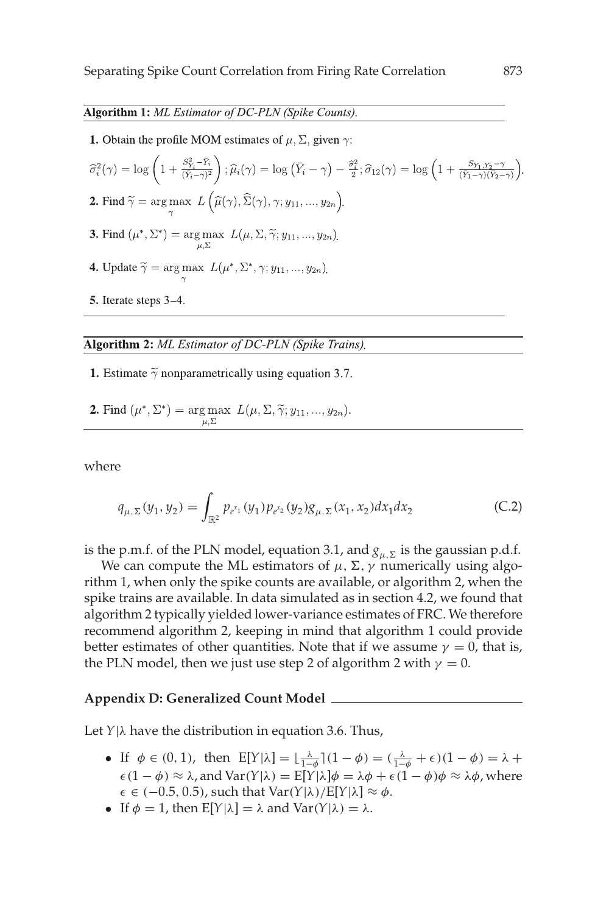### Algorithm 1: ML Estimator of DC-PLN (Spike Counts).

**1.** Obtain the profile MOM estimates of  $\mu$ ,  $\Sigma$ , given  $\gamma$ :

 $\widehat{\sigma}^2_i(\gamma) = \log\left(1 + \tfrac{S^2_{Y_i} - \bar{Y}_i}{(\bar{Y}_i - \gamma)^2}\right); \widehat{\mu}_i(\gamma) = \log\left(\bar{Y}_i - \gamma\right) - \tfrac{\widehat{\sigma}^2_i}{2}; \widehat{\sigma}_{12}(\gamma) = \log\left(1 + \tfrac{S_{Y_1,Y_2} - \gamma}{(\bar{Y}_1 - \gamma)(\bar{Y}_2 - \gamma)}\right).$ **2.** Find  $\widetilde{\gamma} = \arg \max L(\widehat{\mu}(\gamma), \widehat{\Sigma}(\gamma), \gamma; y_{11}, ..., y_{2n}).$ **3.** Find  $(\mu^*, \Sigma^*)$  =  $\arg \max_{\mu, \Sigma} L(\mu, \Sigma, \tilde{\gamma}; y_{11}, ..., y_{2n}).$ **4.** Update  $\widetilde{\gamma} = \arg \max_{\gamma} L(\mu^*, \Sigma^*, \gamma; y_{11}, ..., y_{2n}).$ 5. Iterate steps 3-4.

### Algorithm 2: ML Estimator of DC-PLN (Spike Trains).

- **1.** Estimate  $\tilde{\gamma}$  nonparametrically using equation 3.7.
- **2.** Find  $(\mu^*, \Sigma^*)$  = arg max  $L(\mu, \Sigma, \tilde{\gamma}; y_{11}, ..., y_{2n}).$

where

$$
q_{\mu,\Sigma}(y_1, y_2) = \int_{\mathbb{R}^2} p_{e^{x_1}}(y_1) p_{e^{x_2}}(y_2) g_{\mu,\Sigma}(x_1, x_2) dx_1 dx_2
$$
 (C.2)

is the p.m.f. of the PLN model, equation 3.1, and  $g_{\mu}$  is the gaussian p.d.f.

We can compute the ML estimators of  $\mu$ ,  $\Sigma$ ,  $\gamma$  numerically using algorithm 1, when only the spike counts are available, or algorithm 2, when the spike trains are available. In data simulated as in section 4.2, we found that algorithm 2 typically yielded lower-variance estimates of FRC. We therefore recommend algorithm 2, keeping in mind that algorithm 1 could provide better estimates of other quantities. Note that if we assume  $\gamma = 0$ , that is, the PLN model, then we just use step 2 of algorithm 2 with  $\gamma = 0$ .

#### **Appendix D: Generalized Count Model**

Let  $Y|\lambda$  have the distribution in equation 3.6. Thus,

- If  $\phi \in (0, 1)$ , then  $E[Y|\lambda] = \lfloor \frac{\lambda}{1-\phi} \rfloor (1-\phi) = (\frac{\lambda}{1-\phi} + \epsilon)(1-\phi) = \lambda + \frac{\lambda}{1-\phi}$  $\epsilon(1 - \phi) \approx \lambda$ , and  $\text{Var}(Y|\lambda) = E[Y|\lambda] \phi = \lambda \phi + \epsilon(1 - \phi) \phi \approx \lambda \phi$ , where  $\epsilon \in (-0.5, 0.5)$ , such that Var(*Y*|λ)/E[*Y*|λ] ≈  $\phi$ .
- If  $\phi = 1$ , then  $E[Y|\lambda] = \lambda$  and  $Var(Y|\lambda) = \lambda$ .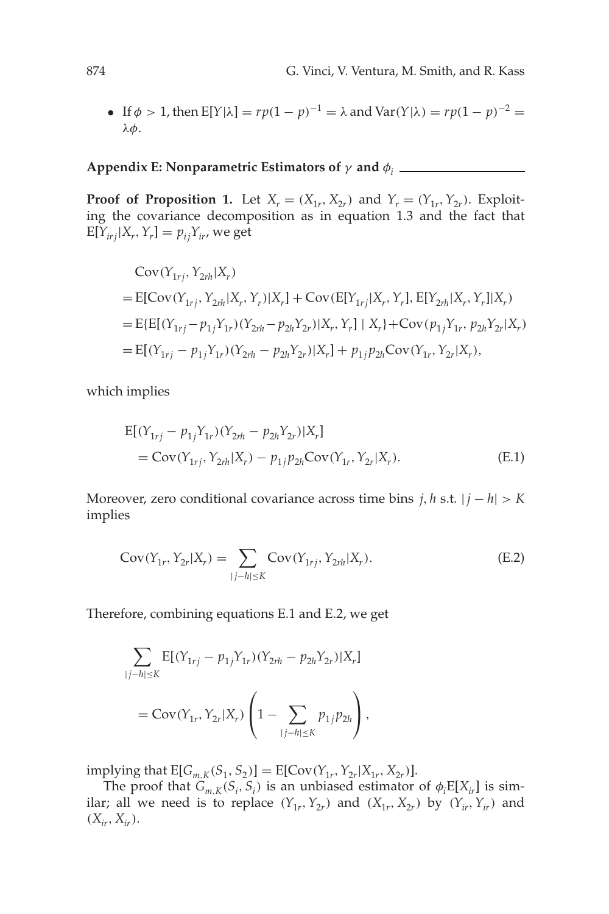• If  $\phi > 1$ , then  $E[Y|\lambda] = rp(1 - p)^{-1} = \lambda$  and  $Var(Y|\lambda) = rp(1 - p)^{-2} =$ λφ.

# **Appendix E: Nonparametric Estimators of**  $\gamma$  and  $\phi_i$

**Proof of Proposition 1.** Let  $X_r = (X_{1r}, X_{2r})$  and  $Y_r = (Y_{1r}, Y_{2r})$ . Exploiting the covariance decomposition as in equation 1.3 and the fact that  $E[Y_{irj}|X_r, Y_r] = p_{ij}Y_{ir}$ , we get

$$
Cov(Y_{1rj}, Y_{2rh}|X_r)
$$
  
= E[Cov(Y<sub>1rj</sub>, Y<sub>2rh</sub>|X<sub>r</sub>, Y<sub>r</sub>)|X<sub>r</sub>] + Cov(E[Y<sub>1rj</sub>|X<sub>r</sub>, Y<sub>r</sub>], E[Y<sub>2rh</sub>|X<sub>r</sub>, Y<sub>r</sub>]|X<sub>r</sub>)  
= E{E[(Y<sub>1rj</sub> - p<sub>1j</sub>Y<sub>1r</sub>) (Y<sub>2rh</sub> - p<sub>2h</sub>Y<sub>2r</sub>)|X<sub>r</sub>, Y<sub>r</sub>] | X<sub>r</sub>} + Cov(p<sub>1j</sub>Y<sub>1r</sub>, p<sub>2h</sub>Y<sub>2r</sub>|X<sub>r</sub>)  
= E[(Y<sub>1rj</sub> - p<sub>1j</sub>Y<sub>1r</sub>) (Y<sub>2rh</sub> - p<sub>2h</sub>Y<sub>2r</sub>)|X<sub>r</sub>] + p<sub>1j</sub>p<sub>2h</sub>Cov(Y<sub>1r</sub>, Y<sub>2r</sub>|X<sub>r</sub>),

which implies

$$
E[(Y_{1rj} - p_{1j}Y_{1r})(Y_{2rh} - p_{2h}Y_{2r})|X_r]
$$
  
= Cov(Y<sub>1rj</sub>, Y<sub>2rh</sub>|X<sub>r</sub>) - p<sub>1j</sub>p<sub>2h</sub>Cov(Y<sub>1r</sub>, Y<sub>2r</sub>|X<sub>r</sub>). (E.1)

Moreover, zero conditional covariance across time bins *j*, *h* s.t. | *j* − *h*| > *K* implies

$$
Cov(Y_{1r}, Y_{2r}|X_r) = \sum_{|j-h| \le K} Cov(Y_{1rj}, Y_{2rh}|X_r).
$$
 (E.2)

Therefore, combining equations E.1 and E.2, we get

$$
\sum_{|j-h| \leq K} \mathbb{E}[(Y_{1rj} - p_{1j}Y_{1r})(Y_{2rh} - p_{2h}Y_{2r})|X_r]
$$
  
= Cov(Y<sub>1r</sub>, Y<sub>2r</sub>|X<sub>r</sub>)  $\left(1 - \sum_{|j-h| \leq K} p_{1j}p_{2h}\right)$ ,

implying that  $E[G_{m,K}(S_1, S_2)] = E[Cov(Y_{1r}, Y_{2r}|X_{1r}, X_{2r})].$ 

The proof that  $G_{m,K}(S_i, S_i)$  is an unbiased estimator of  $\phi_i \mathbb{E}[X_{ir}]$  is similar; all we need is to replace  $(Y_{1r}, Y_{2r})$  and  $(X_{1r}, X_{2r})$  by  $(Y_{ir}, Y_{ir})$  and  $(X_{ir}, X_{ir}).$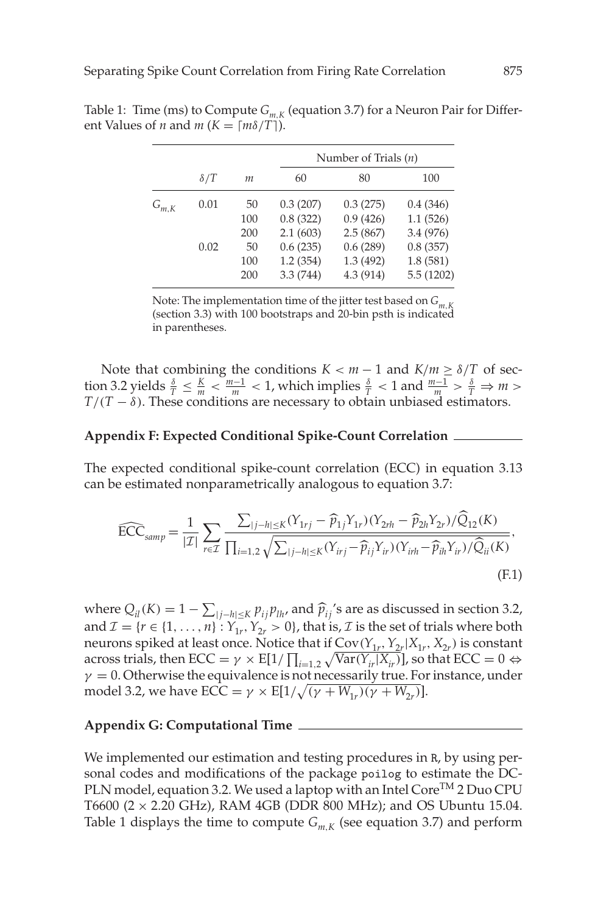|           |            |     | Number of Trials $(n)$ |           |           |
|-----------|------------|-----|------------------------|-----------|-----------|
|           | $\delta/T$ | т   | 60                     | 80        | 100       |
| $G_{m,K}$ | 0.01       | 50  | 0.3(207)               | 0.3(275)  | 0.4(346)  |
|           |            | 100 | 0.8(322)               | 0.9(426)  | 1.1(526)  |
|           |            | 200 | 2.1(603)               | 2.5(867)  | 3.4 (976) |
|           | 0.02       | 50  | 0.6(235)               | 0.6(289)  | 0.8(357)  |
|           |            | 100 | 1.2(354)               | 1.3(492)  | 1.8(581)  |
|           |            | 200 | 3.3(744)               | 4.3 (914) | 5.5(1202) |
|           |            |     |                        |           |           |

Table 1: Time (ms) to Compute  $G_{m,K}$  (equation 3.7) for a Neuron Pair for Different Values of *n* and *m* ( $K = \lceil m\delta/T \rceil$ ).

Note: The implementation time of the jitter test based on  $G_{m,K}$ (section 3.3) with 100 bootstraps and 20-bin psth is indicated in parentheses.

Note that combining the conditions  $K < m - 1$  and  $K/m \geq \delta/T$  of section 3.2 yields  $\frac{\delta}{T} \leq \frac{K}{m} < \frac{m-1}{m} < 1$ , which implies  $\frac{\delta}{T} < 1$  and  $\frac{m-1}{m} > \frac{\delta}{T} \Rightarrow m > 1$  $T/(T - \delta)$ . These conditions are necessary to obtain unbiased estimators.

### **Appendix F: Expected Conditional Spike-Count Correlation**

The expected conditional spike-count correlation (ECC) in equation 3.13 can be estimated nonparametrically analogous to equation 3.7:

$$
\widehat{ECC}_{\text{ samp}} = \frac{1}{|\mathcal{I}|} \sum_{r \in \mathcal{I}} \frac{\sum_{|j-h| \le K} (Y_{1rj} - \widehat{p}_{1j} Y_{1r}) (Y_{2rh} - \widehat{p}_{2h} Y_{2r}) / \widehat{Q}_{12}(K)}{\prod_{i=1,2} \sqrt{\sum_{|j-h| \le K} (Y_{irj} - \widehat{p}_{ij} Y_{ir}) (Y_{irh} - \widehat{p}_{ih} Y_{ir}) / \widehat{Q}_{ii}(K)}},
$$
\n(F.1)

where  $Q_{il}(K) = 1 - \sum_{|j-h| \leq K} p_{ij} p_{lh}$  and  $\hat{p}_{ij}$ 's are as discussed in section 3.2, and  $\mathcal{I} = \{r \in \{1, ..., n\} : Y_{1r}, Y_{2r} > 0\}$ , that is,  $\mathcal{I}$  is the set of trials where both neurons spiked at least once. Notice that if  $Cov(Y_1, Y_2 | X_1, X_2)$  is constant across trials, then  $\text{ECC} = \gamma \times \text{E}[1/\prod_{i=1,2} \sqrt{\text{Var}(Y_{ir}|X_{ir})}]$ , so that  $\text{ECC} = 0 \Leftrightarrow$  $\gamma = 0$ . Otherwise the equivalence is not necessarily true. For instance, under model 3.2, we have  $\text{ECC} = \gamma \times \text{E}[1/\sqrt{(\gamma + W_{1r})(\gamma + W_{2r})}].$ 

### **Appendix G: Computational Time**

We implemented our estimation and testing procedures in R, by using personal codes and modifications of the package poilog to estimate the DC-PLN model, equation 3.2. We used a laptop with an Intel Core<sup>TM</sup> 2 Duo CPU T6600 ( $2 \times 2.20$  GHz), RAM 4GB (DDR 800 MHz); and OS Ubuntu 15.04. Table 1 displays the time to compute  $G_{m,K}$  (see equation 3.7) and perform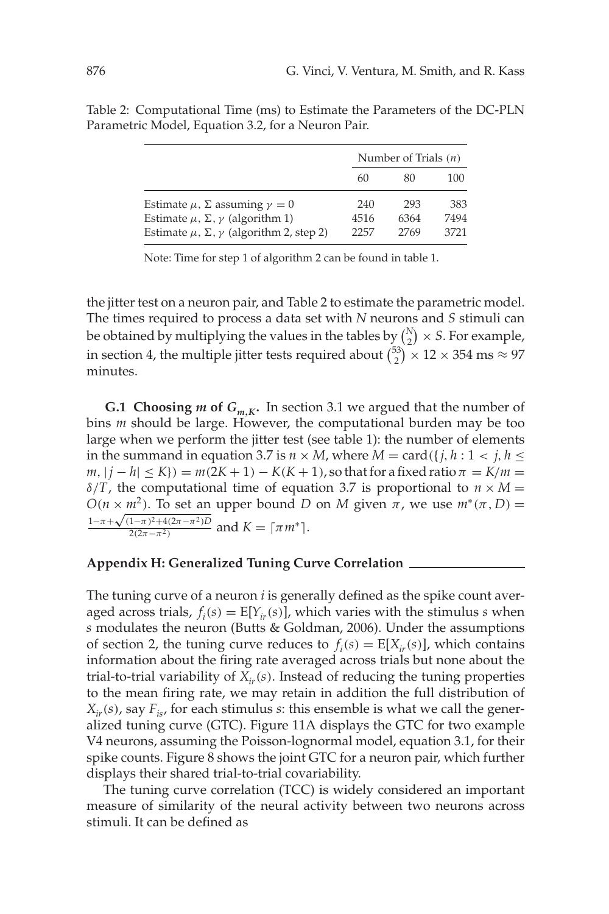|                                                            |      | Number of Trials $(n)$ |      |  |
|------------------------------------------------------------|------|------------------------|------|--|
|                                                            | 60   | 80                     | 100  |  |
| Estimate $\mu$ , $\Sigma$ assuming $\gamma = 0$            | 240  | 293                    | 383  |  |
| Estimate $\mu$ , $\Sigma$ , $\gamma$ (algorithm 1)         | 4516 | 6364                   | 7494 |  |
| Estimate $\mu$ , $\Sigma$ , $\gamma$ (algorithm 2, step 2) | 2257 | 2769                   | 3721 |  |

Table 2: Computational Time (ms) to Estimate the Parameters of the DC-PLN Parametric Model, Equation 3.2, for a Neuron Pair.

Note: Time for step 1 of algorithm 2 can be found in table 1.

the jitter test on a neuron pair, and Table 2 to estimate the parametric model. The times required to process a data set with *N* neurons and *S* stimuli can be obtained by multiplying the values in the tables by  $\binom{N}{2} \times S$ . For example, in section 4, the multiple jitter tests required about  ${53 \choose 2} \times 12 \times 354$  ms  $\approx 97$ minutes.

**G.1 Choosing** *m* of  $G_{m,K}$ . In section 3.1 we argued that the number of bins *m* should be large. However, the computational burden may be too large when we perform the jitter test (see table 1): the number of elements in the summand in equation 3.7 is  $n \times M$ , where  $M = \text{card}(\{j, h : 1 \le j, h \le k\})$  $m, |j - h| \leq K$ ) =  $m(2K + 1) - K(K + 1)$ , so that for a fixed ratio  $\pi = K/m$  =  $\delta/T$ , the computational time of equation 3.7 is proportional to  $n \times M =$ *O*( $n \times m^2$ ). To set an upper bound *D* on *M* given  $\pi$ , we use  $m^*(\pi, D)$  =  $U(n \times m)$ . 10 set and<br>1-π+ $\sqrt{(1-\pi)^2+4(2\pi-\pi^2)}D$  $\frac{1-\pi}{2(2\pi-\pi^2)}$  and  $K = \lceil \pi m^* \rceil$ .

#### **Appendix H: Generalized Tuning Curve Correlation**

The tuning curve of a neuron *i* is generally defined as the spike count averaged across trials,  $f_i(s) = E[Y_{ir}(s)]$ , which varies with the stimulus *s* when *s* modulates the neuron (Butts & Goldman, 2006). Under the assumptions of section 2, the tuning curve reduces to  $f_i(s) = E[X_{ir}(s)]$ , which contains information about the firing rate averaged across trials but none about the trial-to-trial variability of  $X_{ir}(s)$ . Instead of reducing the tuning properties to the mean firing rate, we may retain in addition the full distribution of  $X_{ir}(s)$ , say  $F_{is}$ , for each stimulus *s*: this ensemble is what we call the generalized tuning curve (GTC). Figure 11A displays the GTC for two example V4 neurons, assuming the Poisson-lognormal model, equation 3.1, for their spike counts. Figure 8 shows the joint GTC for a neuron pair, which further displays their shared trial-to-trial covariability.

The tuning curve correlation (TCC) is widely considered an important measure of similarity of the neural activity between two neurons across stimuli. It can be defined as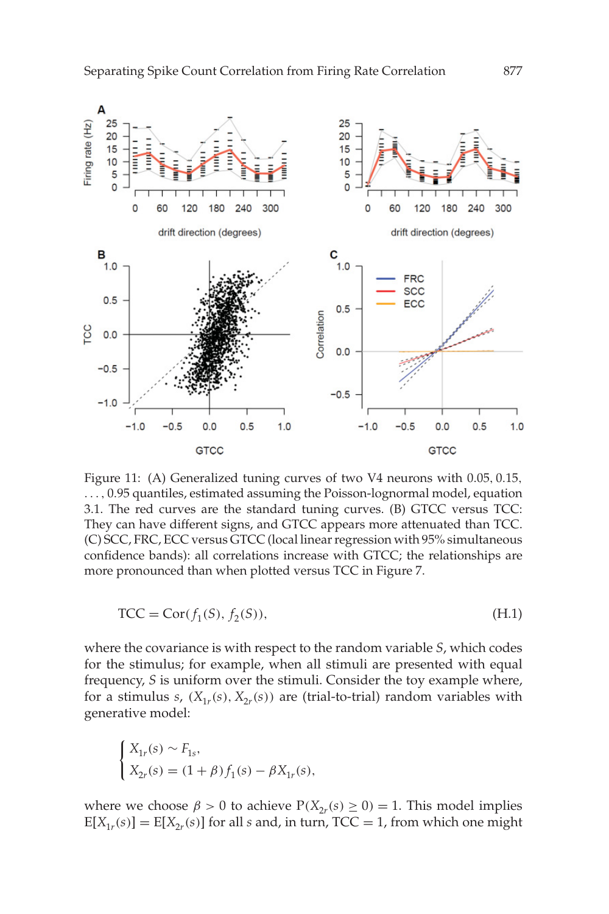

Figure 11: (A) Generalized tuning curves of two V4 neurons with 0.05, 0.15, ..., 0.95 quantiles, estimated assuming the Poisson-lognormal model, equation 3.1. The red curves are the standard tuning curves. (B) GTCC versus TCC: They can have different signs, and GTCC appears more attenuated than TCC. (C) SCC, FRC, ECC versus GTCC (local linear regression with 95% simultaneous confidence bands): all correlations increase with GTCC; the relationships are more pronounced than when plotted versus TCC in Figure 7.

$$
\text{TCC} = \text{Cor}(f_1(S), f_2(S)),\tag{H.1}
$$

where the covariance is with respect to the random variable *S*, which codes for the stimulus; for example, when all stimuli are presented with equal frequency, *S* is uniform over the stimuli. Consider the toy example where, for a stimulus *s*,  $(X_{1r}(s), X_{2r}(s))$  are (trial-to-trial) random variables with generative model:

$$
\begin{cases} X_{1r}(s) \sim F_{1s}, \\ X_{2r}(s) = (1+\beta)f_1(s) - \beta X_{1r}(s), \end{cases}
$$

where we choose  $\beta > 0$  to achieve  $P(X_{2r}(s) \ge 0) = 1$ . This model implies  $E[X_{1r}(s)] = E[X_{2r}(s)]$  for all *s* and, in turn, TCC = 1, from which one might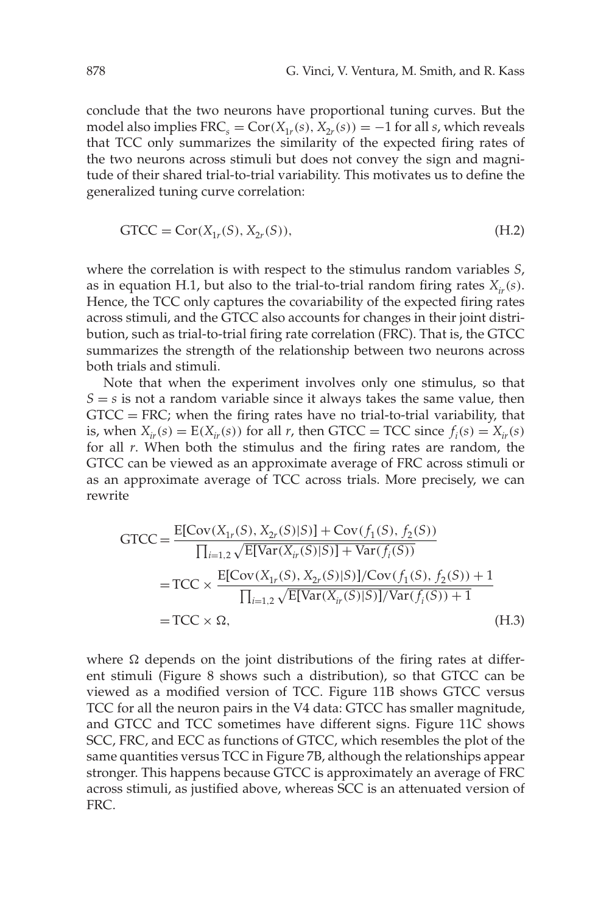conclude that the two neurons have proportional tuning curves. But the model also implies  $FRC_s = Cor(X_{1r}(s), X_{2r}(s)) = -1$  for all *s*, which reveals that TCC only summarizes the similarity of the expected firing rates of the two neurons across stimuli but does not convey the sign and magnitude of their shared trial-to-trial variability. This motivates us to define the generalized tuning curve correlation:

$$
GTCC = Cor(X1r(S), X2r(S)),
$$
\n(H.2)

where the correlation is with respect to the stimulus random variables *S*, as in equation H.1, but also to the trial-to-trial random firing rates  $X_{ir}(s)$ . Hence, the TCC only captures the covariability of the expected firing rates across stimuli, and the GTCC also accounts for changes in their joint distribution, such as trial-to-trial firing rate correlation (FRC). That is, the GTCC summarizes the strength of the relationship between two neurons across both trials and stimuli.

Note that when the experiment involves only one stimulus, so that  $S = s$  is not a random variable since it always takes the same value, then  $GTCC = FRC$ ; when the firing rates have no trial-to-trial variability, that is, when  $X_{ir}(s) = E(X_{ir}(s))$  for all *r*, then GTCC = TCC since  $f_i(s) = X_{ir}(s)$ for all *r*. When both the stimulus and the firing rates are random, the GTCC can be viewed as an approximate average of FRC across stimuli or as an approximate average of TCC across trials. More precisely, we can rewrite

$$
GTCC = \frac{E[Cov(X_{1r}(S), X_{2r}(S)|S)] + Cov(f_1(S), f_2(S))}{\prod_{i=1,2} \sqrt{E[Var(X_{ir}(S)|S)] + Var(f_i(S))}}
$$
  
= TCC × 
$$
\frac{E[Cov(X_{1r}(S), X_{2r}(S)|S)]/Cov(f_1(S), f_2(S)) + 1}{\prod_{i=1,2} \sqrt{E[Var(X_{ir}(S)|S)]/Var(f_i(S)) + 1}}
$$
  
= TCC × ∩, (H.3)

where  $\Omega$  depends on the joint distributions of the firing rates at different stimuli (Figure 8 shows such a distribution), so that GTCC can be viewed as a modified version of TCC. Figure 11B shows GTCC versus TCC for all the neuron pairs in the V4 data: GTCC has smaller magnitude, and GTCC and TCC sometimes have different signs. Figure 11C shows SCC, FRC, and ECC as functions of GTCC, which resembles the plot of the same quantities versus TCC in Figure 7B, although the relationships appear stronger. This happens because GTCC is approximately an average of FRC across stimuli, as justified above, whereas SCC is an attenuated version of FRC.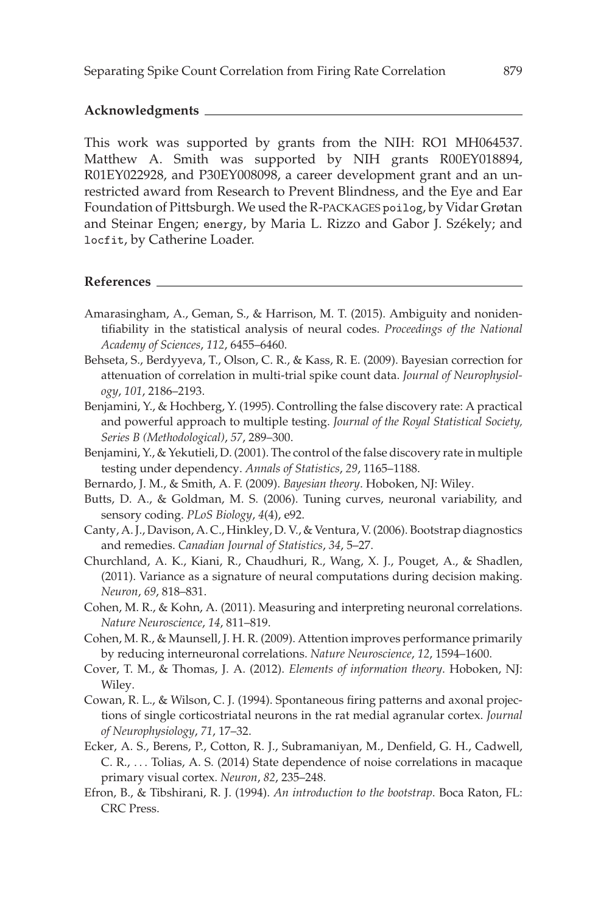### **Acknowledgments**

This work was supported by grants from the NIH: RO1 MH064537. Matthew A. Smith was supported by NIH grants R00EY018894, R01EY022928, and P30EY008098, a career development grant and an unrestricted award from Research to Prevent Blindness, and the Eye and Ear Foundation of Pittsburgh. We used the R-PACKAGES poilog, by Vidar Grøtan and Steinar Engen; energy, by Maria L. Rizzo and Gabor J. Székely; and locfit, by Catherine Loader.

### **References**

- Amarasingham, A., Geman, S., & Harrison, M. T. (2015). Ambiguity and nonidentifiability in the statistical analysis of neural codes. *Proceedings of the National Academy of Sciences*, *112*, 6455–6460.
- Behseta, S., Berdyyeva, T., Olson, C. R., & Kass, R. E. (2009). Bayesian correction for attenuation of correlation in multi-trial spike count data. *Journal of Neurophysiology*, *101*, 2186–2193.
- Benjamini, Y., & Hochberg, Y. (1995). Controlling the false discovery rate: A practical and powerful approach to multiple testing. *Journal of the Royal Statistical Society, Series B (Methodological)*, *57*, 289–300.
- Benjamini, Y., & Yekutieli, D. (2001). The control of the false discovery rate in multiple testing under dependency. *Annals of Statistics*, *29*, 1165–1188.
- Bernardo, J. M., & Smith, A. F. (2009). *Bayesian theory*. Hoboken, NJ: Wiley.
- Butts, D. A., & Goldman, M. S. (2006). Tuning curves, neuronal variability, and sensory coding. *PLoS Biology*, *4*(4), e92.
- Canty, A. J., Davison, A. C., Hinkley, D. V., & Ventura, V. (2006). Bootstrap diagnostics and remedies. *Canadian Journal of Statistics*, *34*, 5–27.
- Churchland, A. K., Kiani, R., Chaudhuri, R., Wang, X. J., Pouget, A., & Shadlen, (2011). Variance as a signature of neural computations during decision making. *Neuron*, *69*, 818–831.
- Cohen, M. R., & Kohn, A. (2011). Measuring and interpreting neuronal correlations. *Nature Neuroscience*, *14*, 811–819.
- Cohen, M. R., & Maunsell, J. H. R. (2009). Attention improves performance primarily by reducing interneuronal correlations. *Nature Neuroscience*, *12*, 1594–1600.
- Cover, T. M., & Thomas, J. A. (2012). *Elements of information theory*. Hoboken, NJ: Wiley.
- Cowan, R. L., & Wilson, C. J. (1994). Spontaneous firing patterns and axonal projections of single corticostriatal neurons in the rat medial agranular cortex. *Journal of Neurophysiology*, *71*, 17–32.
- Ecker, A. S., Berens, P., Cotton, R. J., Subramaniyan, M., Denfield, G. H., Cadwell, C. R., ... Tolias, A. S. (2014) State dependence of noise correlations in macaque primary visual cortex. *Neuron*, *82*, 235–248.
- Efron, B., & Tibshirani, R. J. (1994). *An introduction to the bootstrap*. Boca Raton, FL: CRC Press.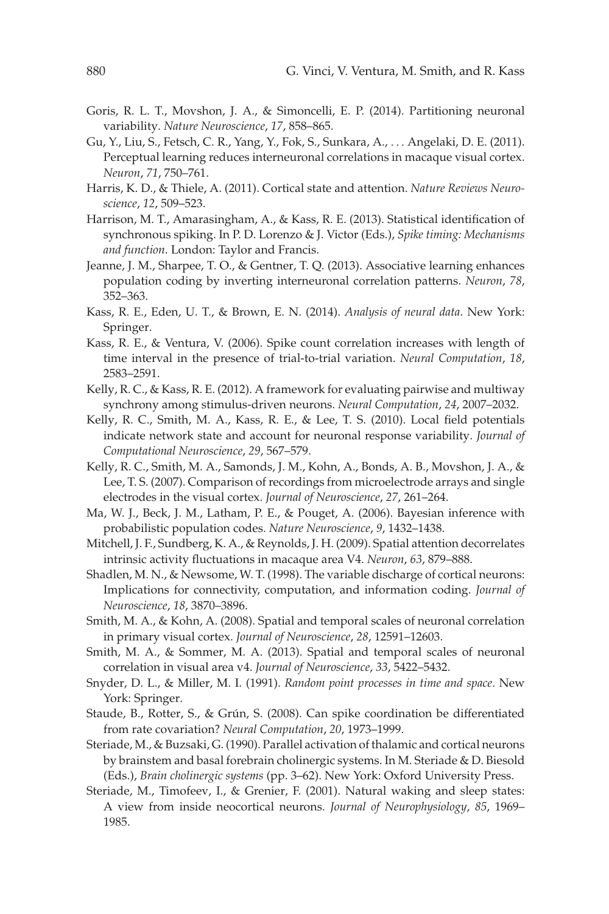- Goris, R. L. T., Movshon, J. A., & Simoncelli, E. P. (2014). Partitioning neuronal variability. *Nature Neuroscience*, *17*, 858–865.
- Gu, Y., Liu, S., Fetsch, C. R., Yang, Y., Fok, S., Sunkara, A., ... Angelaki, D. E. (2011). Perceptual learning reduces interneuronal correlations in macaque visual cortex. *Neuron*, *71*, 750–761.
- Harris, K. D., & Thiele, A. (2011). Cortical state and attention. *Nature Reviews Neuroscience*, *12*, 509–523.
- Harrison, M. T., Amarasingham, A., & Kass, R. E. (2013). Statistical identification of synchronous spiking. In P. D. Lorenzo & J. Victor (Eds.), *Spike timing: Mechanisms and function*. London: Taylor and Francis.
- Jeanne, J. M., Sharpee, T. O., & Gentner, T. Q. (2013). Associative learning enhances population coding by inverting interneuronal correlation patterns. *Neuron*, *78*, 352–363.
- Kass, R. E., Eden, U. T., & Brown, E. N. (2014). *Analysis of neural data*. New York: Springer.
- Kass, R. E., & Ventura, V. (2006). Spike count correlation increases with length of time interval in the presence of trial-to-trial variation. *Neural Computation*, *18*, 2583–2591.
- Kelly, R. C., & Kass, R. E. (2012). A framework for evaluating pairwise and multiway synchrony among stimulus-driven neurons. *Neural Computation*, *24*, 2007–2032.
- Kelly, R. C., Smith, M. A., Kass, R. E., & Lee, T. S. (2010). Local field potentials indicate network state and account for neuronal response variability. *Journal of Computational Neuroscience*, *29*, 567–579.
- Kelly, R. C., Smith, M. A., Samonds, J. M., Kohn, A., Bonds, A. B., Movshon, J. A., & Lee, T. S. (2007). Comparison of recordings from microelectrode arrays and single electrodes in the visual cortex. *Journal of Neuroscience*, *27*, 261–264.
- Ma, W. J., Beck, J. M., Latham, P. E., & Pouget, A. (2006). Bayesian inference with probabilistic population codes. *Nature Neuroscience*, *9*, 1432–1438.
- Mitchell, J. F., Sundberg, K. A., & Reynolds, J. H. (2009). Spatial attention decorrelates intrinsic activity fluctuations in macaque area V4. *Neuron*, *63*, 879–888.
- Shadlen, M. N., & Newsome, W. T. (1998). The variable discharge of cortical neurons: Implications for connectivity, computation, and information coding. *Journal of Neuroscience*, *18*, 3870–3896.
- Smith, M. A., & Kohn, A. (2008). Spatial and temporal scales of neuronal correlation in primary visual cortex. *Journal of Neuroscience*, *28*, 12591–12603.
- Smith, M. A., & Sommer, M. A. (2013). Spatial and temporal scales of neuronal correlation in visual area v4. *Journal of Neuroscience*, *33*, 5422–5432.
- Snyder, D. L., & Miller, M. I. (1991). *Random point processes in time and space*. New York: Springer.
- Staude, B., Rotter, S., & Grún, S. (2008). Can spike coordination be differentiated from rate covariation? *Neural Computation*, *20*, 1973–1999.
- Steriade, M., & Buzsaki, G. (1990). Parallel activation of thalamic and cortical neurons by brainstem and basal forebrain cholinergic systems. In M. Steriade & D. Biesold (Eds.), *Brain cholinergic systems* (pp. 3–62). New York: Oxford University Press.
- Steriade, M., Timofeev, I., & Grenier, F. (2001). Natural waking and sleep states: A view from inside neocortical neurons. *Journal of Neurophysiology*, *85*, 1969– 1985.